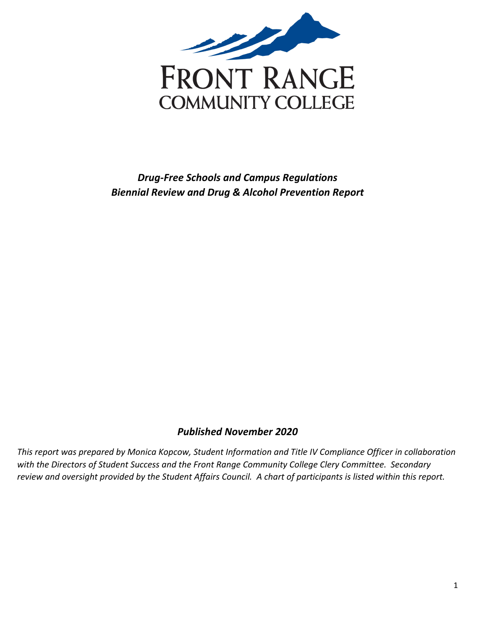

## <span id="page-0-0"></span>*Drug-Free Schools and Campus Regulations Biennial Review and Drug & Alcohol Prevention Report*

## *Published November 2020*

*This report was prepared by Monica Kopcow, Student Information and Title IV Compliance Officer in collaboration with the Directors of Student Success and the Front Range Community College Clery Committee. Secondary review and oversight provided by the Student Affairs Council. A chart of participants is listed within this report.*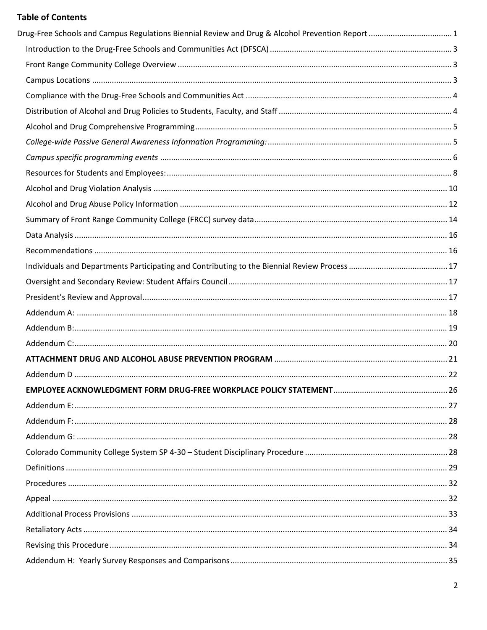## **Table of Contents**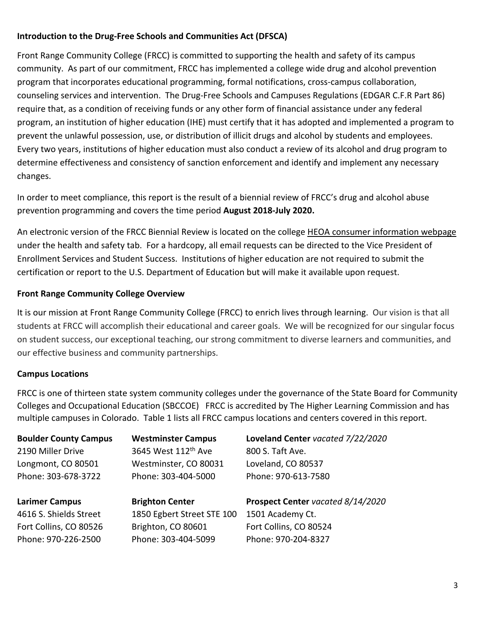## <span id="page-2-0"></span>**Introduction to the Drug-Free Schools and Communities Act (DFSCA)**

Front Range Community College (FRCC) is committed to supporting the health and safety of its campus community. As part of our commitment, FRCC has implemented a college wide drug and alcohol prevention program that incorporates educational programming, formal notifications, cross-campus collaboration, counseling services and intervention. The Drug-Free Schools and Campuses Regulations (EDGAR C.F.R Part 86) require that, as a condition of receiving funds or any other form of financial assistance under any federal program, an institution of higher education (IHE) must certify that it has adopted and implemented a program to prevent the unlawful possession, use, or distribution of illicit drugs and alcohol by students and employees. Every two years, institutions of higher education must also conduct a review of its alcohol and drug program to determine effectiveness and consistency of sanction enforcement and identify and implement any necessary changes.

In order to meet compliance, this report is the result of a biennial review of FRCC's drug and alcohol abuse prevention programming and covers the time period **August 2018-July 2020.**

An electronic version of the FRCC Biennial Review is located on the college [HEOA consumer information webpage](https://www.frontrange.edu/disclaimers-and-legal-notices/higher-education-opportunity-act-disclosures) under the health and safety tab. For a hardcopy, all email requests can be directed to the Vice President of Enrollment Services and Student Success. Institutions of higher education are not required to submit the certification or report to the U.S. Department of Education but will make it available upon request.

## <span id="page-2-1"></span>**Front Range Community College Overview**

It is our mission at Front Range Community College (FRCC) to enrich lives through learning. Our vision is that all students at FRCC will accomplish their educational and career goals. We will be recognized for our singular focus on student success, our exceptional teaching, our strong commitment to diverse learners and communities, and our effective business and community partnerships.

## <span id="page-2-2"></span>**Campus Locations**

FRCC is one of thirteen state system community colleges under the governance of the State Board for Community Colleges and Occupational Education (SBCCOE) FRCC is accredited by The Higher Learning Commission and has multiple campuses in Colorado. Table 1 lists all FRCC campus locations and centers covered in this report.

| <b>Boulder County Campus</b> | <b>Westminster Campus</b>       | Loveland Center vacated 7/22/2020 |
|------------------------------|---------------------------------|-----------------------------------|
| 2190 Miller Drive            | 3645 West 112 <sup>th</sup> Ave | 800 S. Taft Ave.                  |
| Longmont, CO 80501           | Westminster, CO 80031           | Loveland, CO 80537                |
| Phone: 303-678-3722          | Phone: 303-404-5000             | Phone: 970-613-7580               |
|                              |                                 |                                   |
|                              |                                 |                                   |
| <b>Larimer Campus</b>        | <b>Brighton Center</b>          | Prospect Center vacated 8/14/2020 |
| 4616 S. Shields Street       | 1850 Egbert Street STE 100      | 1501 Academy Ct.                  |
| Fort Collins, CO 80526       | Brighton, CO 80601              | Fort Collins, CO 80524            |
| Phone: 970-226-2500          | Phone: 303-404-5099             | Phone: 970-204-8327               |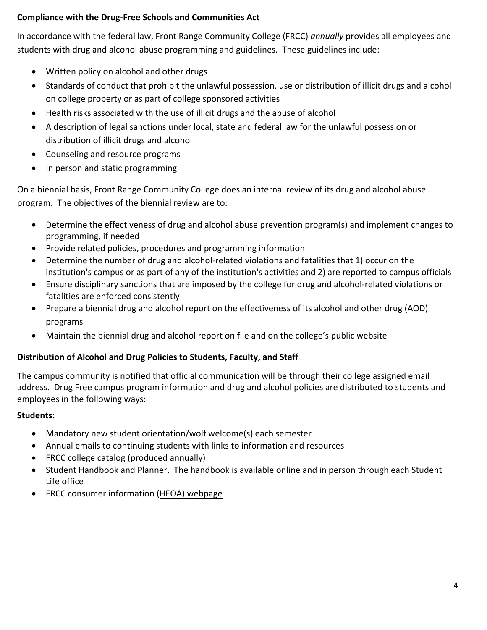## <span id="page-3-0"></span>**Compliance with the Drug-Free Schools and Communities Act**

In accordance with the federal law, Front Range Community College (FRCC) *annually* provides all employees and students with drug and alcohol abuse programming and guidelines. These guidelines include:

- Written policy on alcohol and other drugs
- Standards of conduct that prohibit the unlawful possession, use or distribution of illicit drugs and alcohol on college property or as part of college sponsored activities
- Health risks associated with the use of illicit drugs and the abuse of alcohol
- A description of legal sanctions under local, state and federal law for the unlawful possession or distribution of illicit drugs and alcohol
- Counseling and resource programs
- In person and static programming

On a biennial basis, Front Range Community College does an internal review of its drug and alcohol abuse program. The objectives of the biennial review are to:

- Determine the effectiveness of drug and alcohol abuse prevention program(s) and implement changes to programming, if needed
- Provide related policies, procedures and programming information
- Determine the number of drug and alcohol-related violations and fatalities that 1) occur on the institution's campus or as part of any of the institution's activities and 2) are reported to campus officials
- Ensure disciplinary sanctions that are imposed by the college for drug and alcohol-related violations or fatalities are enforced consistently
- Prepare a biennial drug and alcohol report on the effectiveness of its alcohol and other drug (AOD) programs
- Maintain the biennial drug and alcohol report on file and on the college's public website

## <span id="page-3-1"></span>**Distribution of Alcohol and Drug Policies to Students, Faculty, and Staff**

The campus community is notified that official communication will be through their college assigned email address. Drug Free campus program information and drug and alcohol policies are distributed to students and employees in the following ways:

## **Students:**

- Mandatory new student orientation/wolf welcome(s) each semester
- Annual emails to continuing students with links to information and resources
- FRCC college catalog (produced annually)
- Student Handbook and Planner. The handbook is available online and in person through each Student Life office
- FRCC consumer information [\(HEOA\) webpage](https://www.frontrange.edu/disclaimers-and-legal-notices/higher-education-opportunity-act-disclosures)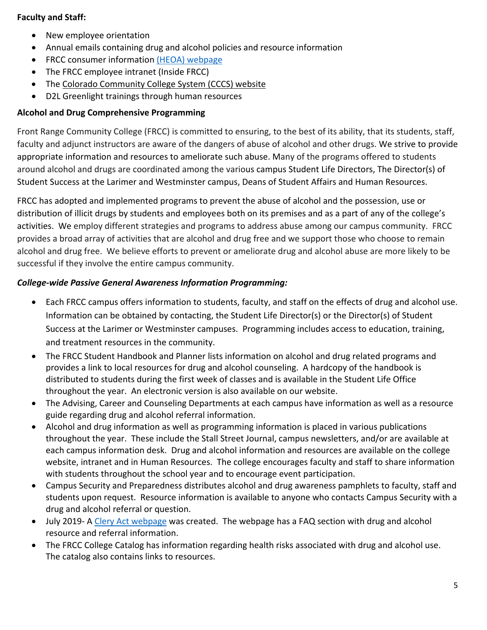## **Faculty and Staff:**

- New employee orientation
- Annual emails containing drug and alcohol policies and resource information
- FRCC consumer information [\(HEOA\) webpage](https://www.frontrange.edu/disclaimers-and-legal-notices/higher-education-opportunity-act-disclosures)
- The FRCC employee intranet (Inside FRCC)
- The [Colorado Community College System \(CCCS\) website](https://www.cccs.edu/)
- D2L Greenlight trainings through human resources

## <span id="page-4-0"></span>**Alcohol and Drug Comprehensive Programming**

Front Range Community College (FRCC) is committed to ensuring, to the best of its ability, that its students, staff, faculty and adjunct instructors are aware of the dangers of abuse of alcohol and other drugs. We strive to provide appropriate information and resources to ameliorate such abuse. Many of the programs offered to students around alcohol and drugs are coordinated among the various campus Student Life Directors, The Director(s) of Student Success at the Larimer and Westminster campus, Deans of Student Affairs and Human Resources.

FRCC has adopted and implemented programs to prevent the abuse of alcohol and the possession, use or distribution of illicit drugs by students and employees both on its premises and as a part of any of the college's activities. We employ different strategies and programs to address abuse among our campus community. FRCC provides a broad array of activities that are alcohol and drug free and we support those who choose to remain alcohol and drug free. We believe efforts to prevent or ameliorate drug and alcohol abuse are more likely to be successful if they involve the entire campus community.

## <span id="page-4-1"></span>*College-wide Passive General Awareness Information Programming:*

- Each FRCC campus offers information to students, faculty, and staff on the effects of drug and alcohol use. Information can be obtained by contacting, the Student Life Director(s) or the Director(s) of Student Success at the Larimer or Westminster campuses. Programming includes access to education, training, and treatment resources in the community.
- The FRCC Student Handbook and Planner lists information on alcohol and drug related programs and provides a link to local resources for drug and alcohol counseling. A hardcopy of the handbook is distributed to students during the first week of classes and is available in the Student Life Office throughout the year. An electronic version is also available on our website.
- The Advising, Career and Counseling Departments at each campus have information as well as a resource guide regarding drug and alcohol referral information.
- Alcohol and drug information as well as programming information is placed in various publications throughout the year. These include the Stall Street Journal, campus newsletters, and/or are available at each campus information desk. Drug and alcohol information and resources are available on the college website, intranet and in Human Resources. The college encourages faculty and staff to share information with students throughout the school year and to encourage event participation.
- Campus Security and Preparedness distributes alcohol and drug awareness pamphlets to faculty, staff and students upon request. Resource information is available to anyone who contacts Campus Security with a drug and alcohol referral or question.
- July 2019- A [Clery Act webpage](https://www.frontrange.edu/being-a-student/campus-security/clery-act) was created. The webpage has a FAQ section with drug and alcohol resource and referral information.
- The FRCC College Catalog has information regarding health risks associated with drug and alcohol use. The catalog also contains links to resources.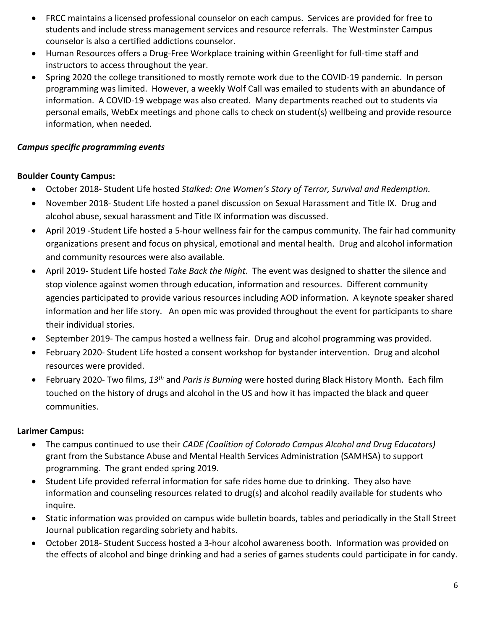- FRCC maintains a licensed professional counselor on each campus. Services are provided for free to students and include stress management services and resource referrals. The Westminster Campus counselor is also a certified addictions counselor.
- Human Resources offers a Drug-Free Workplace training within Greenlight for full-time staff and instructors to access throughout the year.
- Spring 2020 the college transitioned to mostly remote work due to the COVID-19 pandemic. In person programming was limited. However, a weekly Wolf Call was emailed to students with an abundance of information. A COVID-19 webpage was also created. Many departments reached out to students via personal emails, WebEx meetings and phone calls to check on student(s) wellbeing and provide resource information, when needed.

## <span id="page-5-0"></span>*Campus specific programming events*

## **Boulder County Campus:**

- October 2018- Student Life hosted *Stalked: One Women's Story of Terror, Survival and Redemption.*
- November 2018- Student Life hosted a panel discussion on Sexual Harassment and Title IX. Drug and alcohol abuse, sexual harassment and Title IX information was discussed.
- April 2019 -Student Life hosted a 5-hour wellness fair for the campus community. The fair had community organizations present and focus on physical, emotional and mental health. Drug and alcohol information and community resources were also available.
- April 2019- Student Life hosted *Take Back the Night*. The event was designed to shatter the silence and stop violence against women through education, information and resources. Different community agencies participated to provide various resources including AOD information. A keynote speaker shared information and her life story. An open mic was provided throughout the event for participants to share their individual stories.
- September 2019- The campus hosted a wellness fair. Drug and alcohol programming was provided.
- February 2020- Student Life hosted a consent workshop for bystander intervention. Drug and alcohol resources were provided.
- February 2020- Two films, *13th* and *Paris is Burning* were hosted during Black History Month. Each film touched on the history of drugs and alcohol in the US and how it has impacted the black and queer communities.

## **Larimer Campus:**

- The campus continued to use their *CADE (Coalition of Colorado Campus Alcohol and Drug Educators)*  grant from the Substance Abuse and Mental Health Services Administration (SAMHSA) to support programming. The grant ended spring 2019.
- Student Life provided referral information for safe rides home due to drinking. They also have information and counseling resources related to drug(s) and alcohol readily available for students who inquire.
- Static information was provided on campus wide bulletin boards, tables and periodically in the Stall Street Journal publication regarding sobriety and habits.
- October 2018- Student Success hosted a 3-hour alcohol awareness booth. Information was provided on the effects of alcohol and binge drinking and had a series of games students could participate in for candy.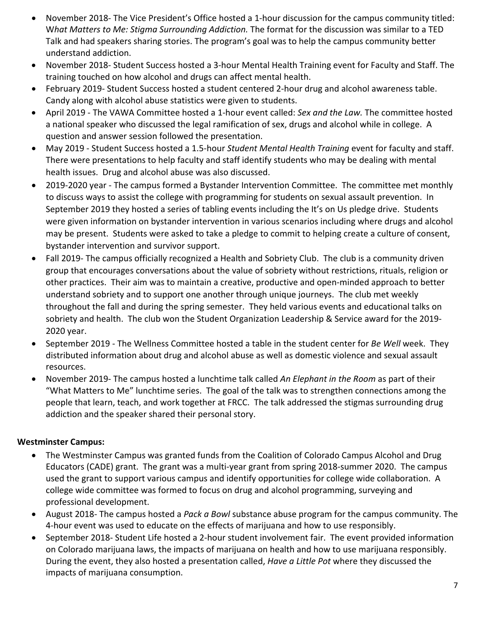- November 2018- The Vice President's Office hosted a 1-hour discussion for the campus community titled: W*hat Matters to Me: Stigma Surrounding Addiction.* The format for the discussion was similar to a TED Talk and had speakers sharing stories. The program's goal was to help the campus community better understand addiction.
- November 2018- Student Success hosted a 3-hour Mental Health Training event for Faculty and Staff. The training touched on how alcohol and drugs can affect mental health.
- February 2019- Student Success hosted a student centered 2-hour drug and alcohol awareness table. Candy along with alcohol abuse statistics were given to students.
- April 2019 The VAWA Committee hosted a 1-hour event called: *Sex and the Law.* The committee hosted a national speaker who discussed the legal ramification of sex, drugs and alcohol while in college. A question and answer session followed the presentation.
- May 2019 Student Success hosted a 1.5-hour *Student Mental Health Training* event for faculty and staff. There were presentations to help faculty and staff identify students who may be dealing with mental health issues. Drug and alcohol abuse was also discussed.
- 2019-2020 year The campus formed a Bystander Intervention Committee. The committee met monthly to discuss ways to assist the college with programming for students on sexual assault prevention. In September 2019 they hosted a series of tabling events including the It's on Us pledge drive. Students were given information on bystander intervention in various scenarios including where drugs and alcohol may be present. Students were asked to take a pledge to commit to helping create a culture of consent, bystander intervention and survivor support.
- Fall 2019- The campus officially recognized a Health and Sobriety Club. The club is a community driven group that encourages conversations about the value of sobriety without restrictions, rituals, religion or other practices. Their aim was to maintain a creative, productive and open-minded approach to better understand sobriety and to support one another through unique journeys. The club met weekly throughout the fall and during the spring semester. They held various events and educational talks on sobriety and health. The club won the Student Organization Leadership & Service award for the 2019- 2020 year.
- September 2019 The Wellness Committee hosted a table in the student center for *Be Well* week. They distributed information about drug and alcohol abuse as well as domestic violence and sexual assault resources.
- November 2019- The campus hosted a lunchtime talk called *An Elephant in the Room* as part of their "What Matters to Me" lunchtime series. The goal of the talk was to strengthen connections among the people that learn, teach, and work together at FRCC. The talk addressed the stigmas surrounding drug addiction and the speaker shared their personal story.

## **Westminster Campus:**

- The Westminster Campus was granted funds from the Coalition of Colorado Campus Alcohol and Drug Educators (CADE) grant. The grant was a multi-year grant from spring 2018-summer 2020. The campus used the grant to support various campus and identify opportunities for college wide collaboration. A college wide committee was formed to focus on drug and alcohol programming, surveying and professional development.
- August 2018- The campus hosted a *Pack a Bowl* substance abuse program for the campus community. The 4-hour event was used to educate on the effects of marijuana and how to use responsibly.
- September 2018- Student Life hosted a 2-hour student involvement fair. The event provided information on Colorado marijuana laws, the impacts of marijuana on health and how to use marijuana responsibly. During the event, they also hosted a presentation called, *Have a Little Pot* where they discussed the impacts of marijuana consumption.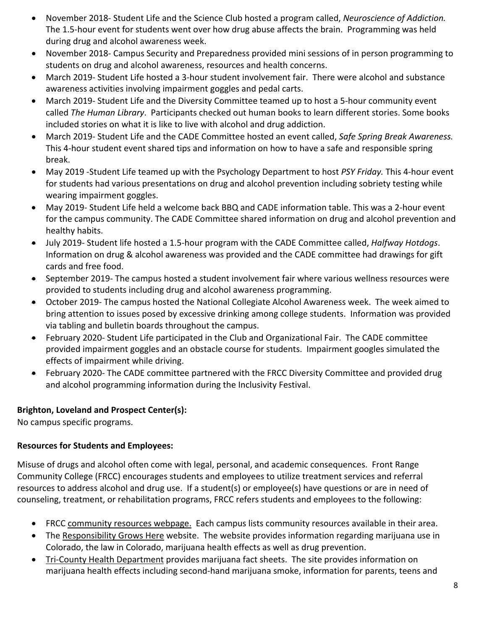- November 2018- Student Life and the Science Club hosted a program called, *Neuroscience of Addiction.*  The 1.5-hour event for students went over how drug abuse affects the brain. Programming was held during drug and alcohol awareness week.
- November 2018- Campus Security and Preparedness provided mini sessions of in person programming to students on drug and alcohol awareness, resources and health concerns.
- March 2019- Student Life hosted a 3-hour student involvement fair. There were alcohol and substance awareness activities involving impairment goggles and pedal carts.
- March 2019- Student Life and the Diversity Committee teamed up to host a 5-hour community event called *The Human Library*. Participants checked out human books to learn different stories. Some books included stories on what it is like to live with alcohol and drug addiction.
- March 2019- Student Life and the CADE Committee hosted an event called, *Safe Spring Break Awareness.*  This 4-hour student event shared tips and information on how to have a safe and responsible spring break.
- May 2019 -Student Life teamed up with the Psychology Department to host *PSY Friday.* This 4-hour event for students had various presentations on drug and alcohol prevention including sobriety testing while wearing impairment goggles.
- May 2019- Student Life held a welcome back BBQ and CADE information table. This was a 2-hour event for the campus community. The CADE Committee shared information on drug and alcohol prevention and healthy habits.
- July 2019- Student life hosted a 1.5-hour program with the CADE Committee called, *Halfway Hotdogs*. Information on drug & alcohol awareness was provided and the CADE committee had drawings for gift cards and free food.
- September 2019- The campus hosted a student involvement fair where various wellness resources were provided to students including drug and alcohol awareness programming.
- October 2019- The campus hosted the National Collegiate Alcohol Awareness week. The week aimed to bring attention to issues posed by excessive drinking among college students. Information was provided via tabling and bulletin boards throughout the campus.
- February 2020- Student Life participated in the Club and Organizational Fair. The CADE committee provided impairment goggles and an obstacle course for students. Impairment googles simulated the effects of impairment while driving.
- February 2020- The CADE committee partnered with the FRCC Diversity Committee and provided drug and alcohol programming information during the Inclusivity Festival.

## **Brighton, Loveland and Prospect Center(s):**

No campus specific programs.

## <span id="page-7-0"></span>**Resources for Students and Employees:**

Misuse of drugs and alcohol often come with legal, personal, and academic consequences. Front Range Community College (FRCC) encourages students and employees to utilize treatment services and referral resources to address alcohol and drug use. If a student(s) or employee(s) have questions or are in need of counseling, treatment, or rehabilitation programs, FRCC refers students and employees to the following:

- FRCC [community resources webpage.](https://www.frontrange.edu/being-a-student/community-resources) Each campus lists community resources available in their area.
- The [Responsibility Grows Here](https://responsibilitygrowshere.com/) website. The website provides information regarding marijuana use in Colorado, the law in Colorado, marijuana health effects as well as drug prevention.
- [Tri-County Health Department](http://www.tchd.org/487/Marijuana) provides marijuana fact sheets. The site provides information on marijuana health effects including second-hand marijuana smoke, information for parents, teens and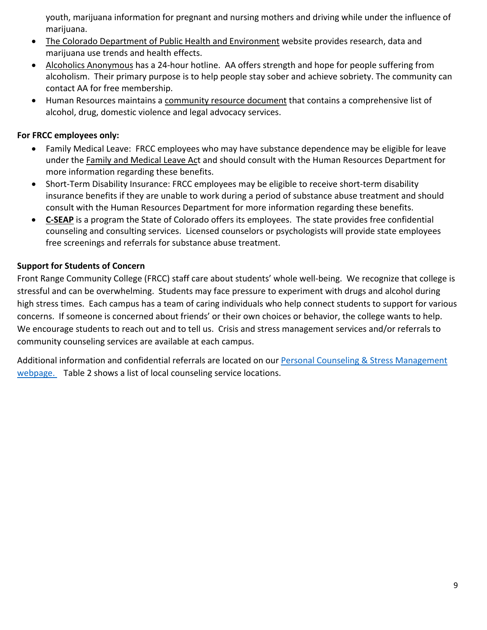youth, marijuana information for pregnant and nursing mothers and driving while under the influence of marijuana.

- [The Colorado Department of Public Health and Environment](https://www.colorado.gov/pacific/cdphe/marijuana-research) website provides research, data and marijuana use trends and health effects.
- [Alcoholics Anonymous](https://daccaa.org/) has a 24-hour hotline. AA offers strength and hope for people suffering from alcoholism. Their primary purpose is to help people stay sober and achieve sobriety. The community can contact AA for free membership.
- Human Resources maintains a [community resource d](https://www.frontrange.edu/docs/default-source/Being-a-Student/safety-security/community-resources.pdf?sfvrsn=4)ocument that contains a comprehensive list of alcohol, drug, domestic violence and legal advocacy services.

## **For FRCC employees only:**

- Family Medical Leave: FRCC employees who may have substance dependence may be eligible for leave under the [Family and Medical Leave Act](https://www.dol.gov/agencies/whd/fmla) and should consult with the Human Resources Department for more information regarding these benefits.
- Short-Term Disability Insurance: FRCC employees may be eligible to receive short-term disability insurance benefits if they are unable to work during a period of substance abuse treatment and should consult with the Human Resources Department for more information regarding these benefits.
- **[C-SEAP](https://www.colorado.gov/c-seap)** is a program the State of Colorado offers its employees. The state provides free confidential counseling and consulting services. Licensed counselors or psychologists will provide state employees free screenings and referrals for substance abuse treatment.

## **Support for Students of Concern**

Front Range Community College (FRCC) staff care about students' whole well-being. We recognize that college is stressful and can be overwhelming. Students may face pressure to experiment with drugs and alcohol during high stress times. Each campus has a team of caring individuals who help connect students to support for various concerns. If someone is concerned about friends' or their own choices or behavior, the college wants to help. We encourage students to reach out and to tell us. Crisis and stress management services and/or referrals to community counseling services are available at each campus.

Additional information and confidential referrals are located on our Personal [Counseling & Stress Management](https://www.frontrange.edu/being-a-student/advising-and-counseling/crisis-counseling-stress-management) [webpage.](https://www.frontrange.edu/being-a-student/advising-and-counseling/crisis-counseling-stress-management) Table 2 shows a list of local counseling service locations.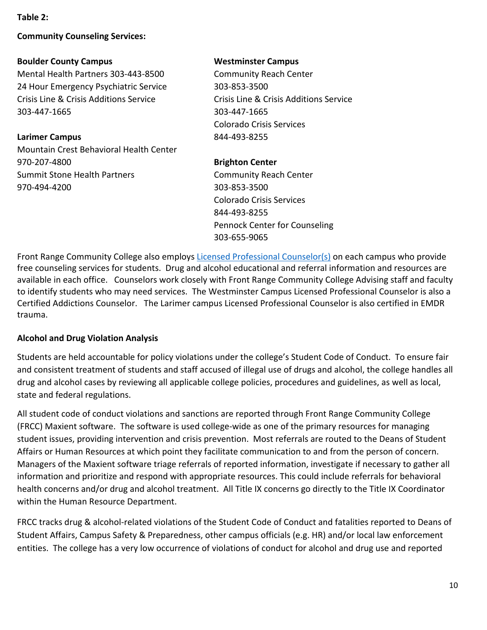#### **Table 2:**

#### **Community Counseling Services:**

#### **Boulder County Campus**

Mental Health Partners 303-443-8500 24 Hour Emergency Psychiatric Service Crisis Line & Crisis Additions Service 303-447-1665

#### **Larimer Campus**

Mountain Crest Behavioral Health Center 970-207-4800 Summit Stone Health Partners 970-494-4200

#### **Westminster Campus**

Community Reach Center 303-853-3500 Crisis Line & Crisis Additions Service 303-447-1665 Colorado Crisis Services 844-493-8255

#### **Brighton Center**

Community Reach Center 303-853-3500 Colorado Crisis Services 844-493-8255 Pennock Center for Counseling 303-655-9065

Front Range Community College also employs [Licensed Professional Counselor\(s\)](https://www.frontrange.edu/being-a-student/advising-and-counseling/crisis-counseling-stress-management) on each campus who provide free counseling services for students. Drug and alcohol educational and referral information and resources are available in each office. Counselors work closely with Front Range Community College Advising staff and faculty to identify students who may need services. The Westminster Campus Licensed Professional Counselor is also a Certified Addictions Counselor. The Larimer campus Licensed Professional Counselor is also certified in EMDR trauma.

## <span id="page-9-0"></span>**Alcohol and Drug Violation Analysis**

Students are held accountable for policy violations under the college's Student Code of Conduct. To ensure fair and consistent treatment of students and staff accused of illegal use of drugs and alcohol, the college handles all drug and alcohol cases by reviewing all applicable college policies, procedures and guidelines, as well as local, state and federal regulations.

All student code of conduct violations and sanctions are reported through Front Range Community College (FRCC) Maxient software. The software is used college-wide as one of the primary resources for managing student issues, providing intervention and crisis prevention. Most referrals are routed to the Deans of Student Affairs or Human Resources at which point they facilitate communication to and from the person of concern. Managers of the Maxient software triage referrals of reported information, investigate if necessary to gather all information and prioritize and respond with appropriate resources. This could include referrals for behavioral health concerns and/or drug and alcohol treatment. All Title IX concerns go directly to the Title IX Coordinator within the Human Resource Department.

FRCC tracks drug & alcohol-related violations of the Student Code of Conduct and fatalities reported to Deans of Student Affairs, Campus Safety & Preparedness, other campus officials (e.g. HR) and/or local law enforcement entities. The college has a very low occurrence of violations of conduct for alcohol and drug use and reported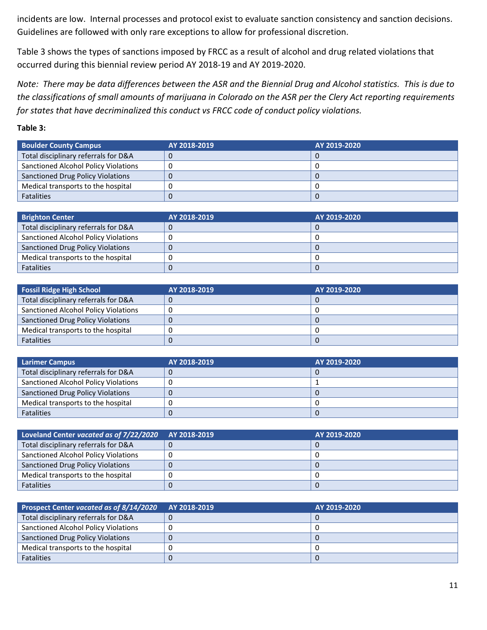incidents are low. Internal processes and protocol exist to evaluate sanction consistency and sanction decisions. Guidelines are followed with only rare exceptions to allow for professional discretion.

Table 3 shows the types of sanctions imposed by FRCC as a result of alcohol and drug related violations that occurred during this biennial review period AY 2018-19 and AY 2019-2020.

*Note: There may be data differences between the ASR and the Biennial Drug and Alcohol statistics. This is due to the classifications of small amounts of marijuana in Colorado on the ASR per the Clery Act reporting requirements for states that have decriminalized this conduct vs FRCC code of conduct policy violations.*

#### **Table 3:**

| <b>Boulder County Campus</b>                | AY 2018-2019 | AY 2019-2020 |
|---------------------------------------------|--------------|--------------|
| Total disciplinary referrals for D&A        |              |              |
| <b>Sanctioned Alcohol Policy Violations</b> |              |              |
| <b>Sanctioned Drug Policy Violations</b>    |              |              |
| Medical transports to the hospital          |              |              |
| <b>Fatalities</b>                           |              |              |

| <b>Brighton Center</b>                   | AY 2018-2019 | AY 2019-2020 |
|------------------------------------------|--------------|--------------|
| Total disciplinary referrals for D&A     |              |              |
| Sanctioned Alcohol Policy Violations     |              |              |
| <b>Sanctioned Drug Policy Violations</b> |              |              |
| Medical transports to the hospital       |              |              |
| <b>Fatalities</b>                        |              |              |

| <b>Fossil Ridge High School</b>          | AY 2018-2019 | AY 2019-2020 |
|------------------------------------------|--------------|--------------|
| Total disciplinary referrals for D&A     |              |              |
| Sanctioned Alcohol Policy Violations     |              |              |
| <b>Sanctioned Drug Policy Violations</b> |              |              |
| Medical transports to the hospital       |              |              |
| <b>Fatalities</b>                        |              |              |

| <b>Larimer Campus</b>                    | AY 2018-2019 | AY 2019-2020 |
|------------------------------------------|--------------|--------------|
| Total disciplinary referrals for D&A     |              |              |
| Sanctioned Alcohol Policy Violations     |              |              |
| <b>Sanctioned Drug Policy Violations</b> |              |              |
| Medical transports to the hospital       |              |              |
| <b>Fatalities</b>                        |              |              |

| Loveland Center vacated as of 7/22/2020 AY 2018-2019 | AY 2019-2020 |
|------------------------------------------------------|--------------|
| Total disciplinary referrals for D&A                 |              |
| Sanctioned Alcohol Policy Violations                 |              |
| <b>Sanctioned Drug Policy Violations</b>             |              |
| Medical transports to the hospital                   |              |
| <b>Fatalities</b>                                    |              |

| Prospect Center vacated as of 8/14/2020  | AY 2018-2019 | AY 2019-2020 |
|------------------------------------------|--------------|--------------|
| Total disciplinary referrals for D&A     |              |              |
| Sanctioned Alcohol Policy Violations     |              |              |
| <b>Sanctioned Drug Policy Violations</b> |              |              |
| Medical transports to the hospital       |              |              |
| <b>Fatalities</b>                        |              |              |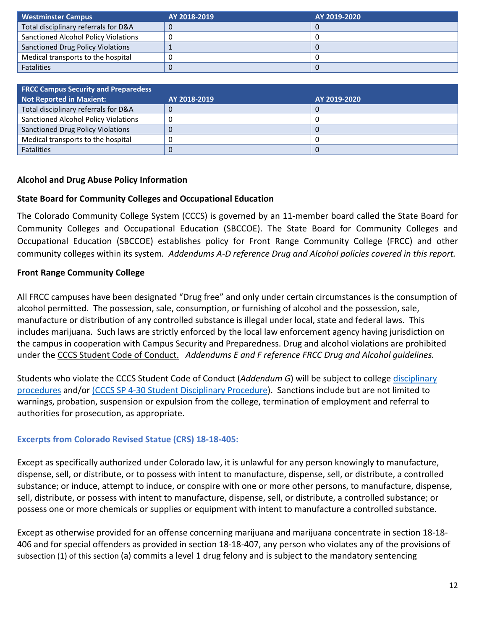| Westminster Campus                       | AY 2018-2019 | AY 2019-2020 |
|------------------------------------------|--------------|--------------|
| Total disciplinary referrals for D&A     |              |              |
| Sanctioned Alcohol Policy Violations     |              |              |
| <b>Sanctioned Drug Policy Violations</b> |              |              |
| Medical transports to the hospital       |              |              |
| <b>Fatalities</b>                        |              |              |

| <b>FRCC Campus Security and Preparedess</b> |              |              |
|---------------------------------------------|--------------|--------------|
| Not Reported in Maxient:                    | AY 2018-2019 | AY 2019-2020 |
| Total disciplinary referrals for D&A        |              |              |
| Sanctioned Alcohol Policy Violations        |              |              |
| <b>Sanctioned Drug Policy Violations</b>    |              |              |
| Medical transports to the hospital          |              |              |
| <b>Fatalities</b>                           |              |              |

## <span id="page-11-0"></span>**Alcohol and Drug Abuse Policy Information**

## **State Board for Community Colleges and Occupational Education**

The Colorado Community College System (CCCS) is governed by an 11-member board called the State Board for Community Colleges and Occupational Education (SBCCOE). The State Board for Community Colleges and Occupational Education (SBCCOE) establishes policy for Front Range Community College (FRCC) and other community colleges within its system*. Addendums A-D reference Drug and Alcohol policies covered in this report.*

## **Front Range Community College**

All FRCC campuses have been designated "Drug free" and only under certain circumstances is the consumption of alcohol permitted. The possession, sale, consumption, or furnishing of alcohol and the possession, sale, manufacture or distribution of any controlled substance is illegal under local, state and federal laws. This includes marijuana. Such laws are strictly enforced by the local law enforcement agency having jurisdiction on the campus in cooperation with Campus Security and Preparedness. Drug and alcohol violations are prohibited under the [CCCS Student Code of Conduct.](http://frontrange.smartcatalogiq.com/2016-2017/Catalog/Student-Responsibilities-Code-of-Conduct/CCCS-Common-Student-Code-of-Conduct-Statements) *Addendums E and F reference FRCC Drug and Alcohol guidelines.* 

Students who violate the CCCS Student Code of Conduct (*Addendum G*) will be subject to college [disciplinary](https://frontrange.smartcatalogiq.com/2018-2019/Catalog/Student-Matters/Student-Rights-Responsibilities-and-Code-of-Conduct/Disciplinary-Procedures)  [procedures](https://frontrange.smartcatalogiq.com/2018-2019/Catalog/Student-Matters/Student-Rights-Responsibilities-and-Code-of-Conduct/Disciplinary-Procedures) and/or [\(CCCS SP 4-30 Student Disciplinary Procedure\)](https://internal.cccs.edu/system-presidents-procedures/sp-4-30-student-disciplinary-procedure/). Sanctions include but are not limited to warnings, probation, suspension or expulsion from the college, termination of employment and referral to authorities for prosecution, as appropriate.

## **Excerpts from Colorado Revised Statue [\(CRS\) 18-18-405:](http://www.lpdirect.net/casb/crs/18-18-405.html)**

Except as specifically authorized under Colorado law, it is unlawful for any person knowingly to manufacture, dispense, sell, or distribute, or to possess with intent to manufacture, dispense, sell, or distribute, a controlled substance; or induce, attempt to induce, or conspire with one or more other persons, to manufacture, dispense, sell, distribute, or possess with intent to manufacture, dispense, sell, or distribute, a controlled substance; or possess one or more chemicals or supplies or equipment with intent to manufacture a controlled substance.

Except as otherwise provided for an offense concerning marijuana and marijuana concentrate in section 18-18- 406 and for special offenders as provided in section 18-18-407, any person who violates any of the provisions of subsection (1) of this section (a) commits a level 1 drug felony and is subject to the mandatory sentencing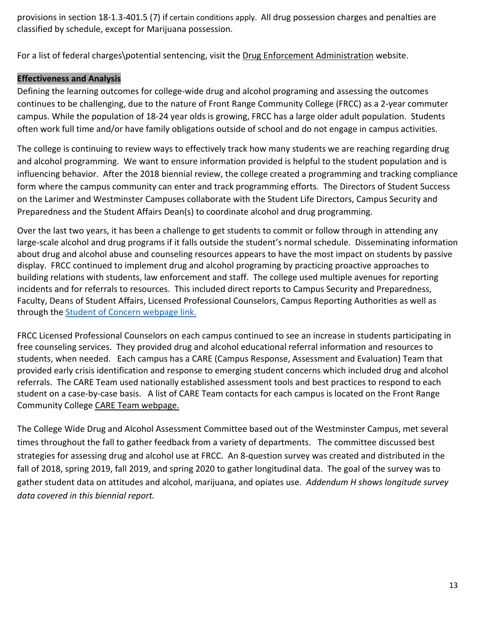provisions in section 18-1.3-401.5 (7) if certain conditions apply. All drug possession charges and penalties are classified by schedule, except for Marijuana possession.

For a list of federal charges\potential sentencing, visit the [Drug Enforcement Administration](https://www.dea.gov/index.shtml) website.

## **Effectiveness and Analysis**

Defining the learning outcomes for college-wide drug and alcohol programing and assessing the outcomes continues to be challenging, due to the nature of Front Range Community College (FRCC) as a 2-year commuter campus. While the population of 18-24 year olds is growing, FRCC has a large older adult population. Students often work full time and/or have family obligations outside of school and do not engage in campus activities.

The college is continuing to review ways to effectively track how many students we are reaching regarding drug and alcohol programming. We want to ensure information provided is helpful to the student population and is influencing behavior. After the 2018 biennial review, the college created a programming and tracking compliance form where the campus community can enter and track programming efforts. The Directors of Student Success on the Larimer and Westminster Campuses collaborate with the Student Life Directors, Campus Security and Preparedness and the Student Affairs Dean(s) to coordinate alcohol and drug programming.

Over the last two years, it has been a challenge to get students to commit or follow through in attending any large-scale alcohol and drug programs if it falls outside the student's normal schedule. Disseminating information about drug and alcohol abuse and counseling resources appears to have the most impact on students by passive display. FRCC continued to implement drug and alcohol programing by practicing proactive approaches to building relations with students, law enforcement and staff. The college used multiple avenues for reporting incidents and for referrals to resources. This included direct reports to Campus Security and Preparedness, Faculty, Deans of Student Affairs, Licensed Professional Counselors, Campus Reporting Authorities as well as through the [Student of Concern webpage link.](https://www.frontrange.edu/being-a-student/campus-security/report-a-concern-or-incident) 

FRCC Licensed Professional Counselors on each campus continued to see an increase in students participating in free counseling services. They provided drug and alcohol educational referral information and resources to students, when needed. Each campus has a CARE (Campus Response, Assessment and Evaluation) Team that provided early crisis identification and response to emerging student concerns which included drug and alcohol referrals. The CARE Team used nationally established assessment tools and best practices to respond to each student on a case-by-case basis. A list of CARE Team contacts for each campus is located on the Front Range Community College [CARE Team webpage.](https://www.frontrange.edu/being-a-student/advising-and-counseling/student-consultation-team) 

The College Wide Drug and Alcohol Assessment Committee based out of the Westminster Campus, met several times throughout the fall to gather feedback from a variety of departments. The committee discussed best strategies for assessing drug and alcohol use at FRCC. An 8-question survey was created and distributed in the fall of 2018, spring 2019, fall 2019, and spring 2020 to gather longitudinal data. The goal of the survey was to gather student data on attitudes and alcohol, marijuana, and opiates use. *Addendum H shows longitude survey data covered in this biennial report.*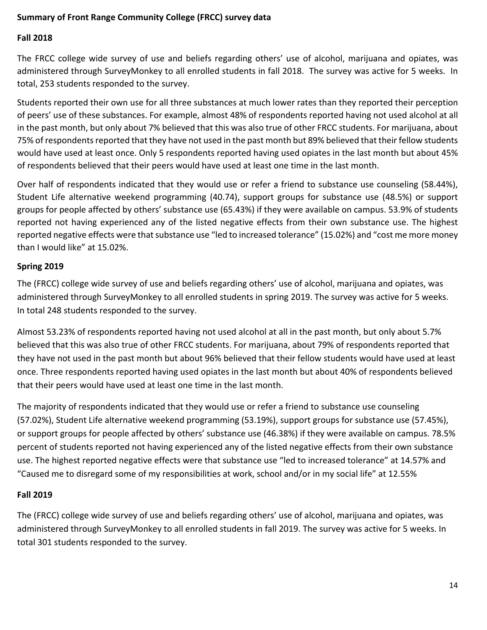## <span id="page-13-0"></span>**Summary of Front Range Community College (FRCC) survey data**

## **Fall 2018**

The FRCC college wide survey of use and beliefs regarding others' use of alcohol, marijuana and opiates, was administered through SurveyMonkey to all enrolled students in fall 2018. The survey was active for 5 weeks. In total, 253 students responded to the survey.

Students reported their own use for all three substances at much lower rates than they reported their perception of peers' use of these substances. For example, almost 48% of respondents reported having not used alcohol at all in the past month, but only about 7% believed that this was also true of other FRCC students. For marijuana, about 75% of respondents reported that they have not used in the past month but 89% believed that their fellow students would have used at least once. Only 5 respondents reported having used opiates in the last month but about 45% of respondents believed that their peers would have used at least one time in the last month.

Over half of respondents indicated that they would use or refer a friend to substance use counseling (58.44%), Student Life alternative weekend programming (40.74), support groups for substance use (48.5%) or support groups for people affected by others' substance use (65.43%) if they were available on campus. 53.9% of students reported not having experienced any of the listed negative effects from their own substance use. The highest reported negative effects were that substance use "led to increased tolerance" (15.02%) and "cost me more money than I would like" at 15.02%.

#### **Spring 2019**

The (FRCC) college wide survey of use and beliefs regarding others' use of alcohol, marijuana and opiates, was administered through SurveyMonkey to all enrolled students in spring 2019. The survey was active for 5 weeks. In total 248 students responded to the survey.

Almost 53.23% of respondents reported having not used alcohol at all in the past month, but only about 5.7% believed that this was also true of other FRCC students. For marijuana, about 79% of respondents reported that they have not used in the past month but about 96% believed that their fellow students would have used at least once. Three respondents reported having used opiates in the last month but about 40% of respondents believed that their peers would have used at least one time in the last month.

The majority of respondents indicated that they would use or refer a friend to substance use counseling (57.02%), Student Life alternative weekend programming (53.19%), support groups for substance use (57.45%), or support groups for people affected by others' substance use (46.38%) if they were available on campus. 78.5% percent of students reported not having experienced any of the listed negative effects from their own substance use. The highest reported negative effects were that substance use "led to increased tolerance" at 14.57% and "Caused me to disregard some of my responsibilities at work, school and/or in my social life" at 12.55%

## **Fall 2019**

The (FRCC) college wide survey of use and beliefs regarding others' use of alcohol, marijuana and opiates, was administered through SurveyMonkey to all enrolled students in fall 2019. The survey was active for 5 weeks. In total 301 students responded to the survey.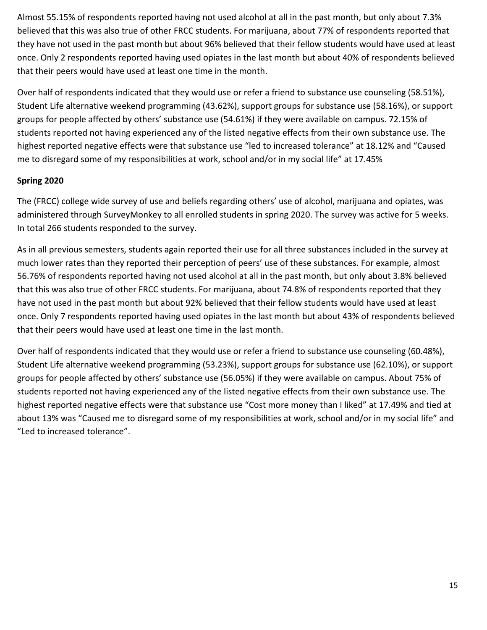Almost 55.15% of respondents reported having not used alcohol at all in the past month, but only about 7.3% believed that this was also true of other FRCC students. For marijuana, about 77% of respondents reported that they have not used in the past month but about 96% believed that their fellow students would have used at least once. Only 2 respondents reported having used opiates in the last month but about 40% of respondents believed that their peers would have used at least one time in the month.

Over half of respondents indicated that they would use or refer a friend to substance use counseling (58.51%), Student Life alternative weekend programming (43.62%), support groups for substance use (58.16%), or support groups for people affected by others' substance use (54.61%) if they were available on campus. 72.15% of students reported not having experienced any of the listed negative effects from their own substance use. The highest reported negative effects were that substance use "led to increased tolerance" at 18.12% and "Caused me to disregard some of my responsibilities at work, school and/or in my social life" at 17.45%

## **Spring 2020**

The (FRCC) college wide survey of use and beliefs regarding others' use of alcohol, marijuana and opiates, was administered through SurveyMonkey to all enrolled students in spring 2020. The survey was active for 5 weeks. In total 266 students responded to the survey.

As in all previous semesters, students again reported their use for all three substances included in the survey at much lower rates than they reported their perception of peers' use of these substances. For example, almost 56.76% of respondents reported having not used alcohol at all in the past month, but only about 3.8% believed that this was also true of other FRCC students. For marijuana, about 74.8% of respondents reported that they have not used in the past month but about 92% believed that their fellow students would have used at least once. Only 7 respondents reported having used opiates in the last month but about 43% of respondents believed that their peers would have used at least one time in the last month.

Over half of respondents indicated that they would use or refer a friend to substance use counseling (60.48%), Student Life alternative weekend programming (53.23%), support groups for substance use (62.10%), or support groups for people affected by others' substance use (56.05%) if they were available on campus. About 75% of students reported not having experienced any of the listed negative effects from their own substance use. The highest reported negative effects were that substance use "Cost more money than I liked" at 17.49% and tied at about 13% was "Caused me to disregard some of my responsibilities at work, school and/or in my social life" and "Led to increased tolerance".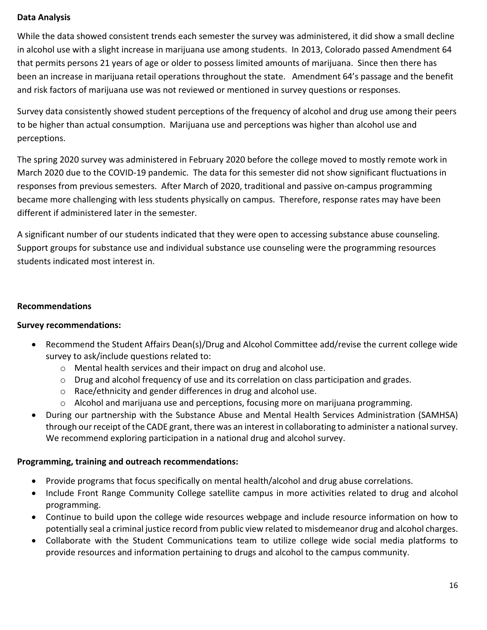## <span id="page-15-0"></span>**Data Analysis**

While the data showed consistent trends each semester the survey was administered, it did show a small decline in alcohol use with a slight increase in marijuana use among students. In 2013, Colorado passed Amendment 64 that permits persons 21 years of age or older to possess limited amounts of marijuana. Since then there has been an increase in marijuana retail operations throughout the state. Amendment 64's passage and the benefit and risk factors of marijuana use was not reviewed or mentioned in survey questions or responses.

Survey data consistently showed student perceptions of the frequency of alcohol and drug use among their peers to be higher than actual consumption. Marijuana use and perceptions was higher than alcohol use and perceptions.

The spring 2020 survey was administered in February 2020 before the college moved to mostly remote work in March 2020 due to the COVID-19 pandemic. The data for this semester did not show significant fluctuations in responses from previous semesters. After March of 2020, traditional and passive on-campus programming became more challenging with less students physically on campus. Therefore, response rates may have been different if administered later in the semester.

A significant number of our students indicated that they were open to accessing substance abuse counseling. Support groups for substance use and individual substance use counseling were the programming resources students indicated most interest in.

## <span id="page-15-1"></span>**Recommendations**

## **Survey recommendations:**

- Recommend the Student Affairs Dean(s)/Drug and Alcohol Committee add/revise the current college wide survey to ask/include questions related to:
	- o Mental health services and their impact on drug and alcohol use.
	- o Drug and alcohol frequency of use and its correlation on class participation and grades.
	- o Race/ethnicity and gender differences in drug and alcohol use.
	- o Alcohol and marijuana use and perceptions, focusing more on marijuana programming.
- During our partnership with the Substance Abuse and Mental Health Services Administration (SAMHSA) through our receipt of the CADE grant, there was an interest in collaborating to administer a national survey. We recommend exploring participation in a national drug and alcohol survey.

## **Programming, training and outreach recommendations:**

- Provide programs that focus specifically on mental health/alcohol and drug abuse correlations.
- Include Front Range Community College satellite campus in more activities related to drug and alcohol programming.
- Continue to build upon the college wide resources webpage and include resource information on how to potentially seal a criminal justice record from public view related to misdemeanor drug and alcohol charges.
- Collaborate with the Student Communications team to utilize college wide social media platforms to provide resources and information pertaining to drugs and alcohol to the campus community.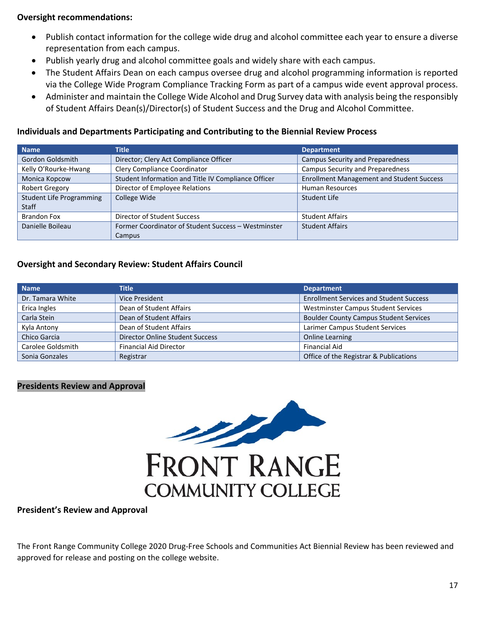#### **Oversight recommendations:**

- Publish contact information for the college wide drug and alcohol committee each year to ensure a diverse representation from each campus.
- Publish yearly drug and alcohol committee goals and widely share with each campus.
- The Student Affairs Dean on each campus oversee drug and alcohol programming information is reported via the College Wide Program Compliance Tracking Form as part of a campus wide event approval process.
- Administer and maintain the College Wide Alcohol and Drug Survey data with analysis being the responsibly of Student Affairs Dean(s)/Director(s) of Student Success and the Drug and Alcohol Committee.

#### <span id="page-16-0"></span>**Individuals and Departments Participating and Contributing to the Biennial Review Process**

| <b>Name</b>                     | Title                                               | <b>Department</b>                                |
|---------------------------------|-----------------------------------------------------|--------------------------------------------------|
| Gordon Goldsmith                | Director; Clery Act Compliance Officer              | <b>Campus Security and Preparedness</b>          |
| Kelly O'Rourke-Hwang            | Clery Compliance Coordinator                        | Campus Security and Preparedness                 |
| Monica Kopcow                   | Student Information and Title IV Compliance Officer | <b>Enrollment Management and Student Success</b> |
| Robert Gregory                  | Director of Employee Relations                      | <b>Human Resources</b>                           |
| <b>Student Life Programming</b> | College Wide                                        | Student Life                                     |
| <b>Staff</b>                    |                                                     |                                                  |
| <b>Brandon Fox</b>              | Director of Student Success                         | <b>Student Affairs</b>                           |
| Danielle Boileau                | Former Coordinator of Student Success - Westminster | <b>Student Affairs</b>                           |
|                                 | Campus                                              |                                                  |

#### <span id="page-16-1"></span>**Oversight and Secondary Review: Student Affairs Council**

| <b>Name</b>       | <b>Title</b>                           | <b>Department</b>                              |
|-------------------|----------------------------------------|------------------------------------------------|
| Dr. Tamara White  | Vice President                         | <b>Enrollment Services and Student Success</b> |
| Erica Ingles      | Dean of Student Affairs                | <b>Westminster Campus Student Services</b>     |
| Carla Stein       | Dean of Student Affairs                | <b>Boulder County Campus Student Services</b>  |
| Kyla Antony       | Dean of Student Affairs                | Larimer Campus Student Services                |
| Chico Garcia      | <b>Director Online Student Success</b> | <b>Online Learning</b>                         |
| Carolee Goldsmith | <b>Financial Aid Director</b>          | <b>Financial Aid</b>                           |
| Sonia Gonzales    | Registrar                              | Office of the Registrar & Publications         |

#### **Presidents Review and Approval**



#### <span id="page-16-2"></span>**President's Review and Approval**

The Front Range Community College 2020 Drug-Free Schools and Communities Act Biennial Review has been reviewed and approved for release and posting on the college website.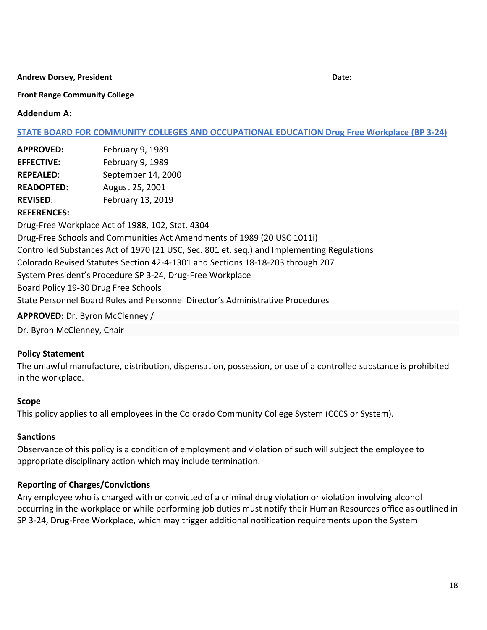**Andrew Dorsey, President Date:**

\_\_\_\_\_\_\_\_\_\_\_\_\_\_\_\_\_\_\_\_\_\_\_\_\_\_\_\_

#### **Front Range Community College**

#### <span id="page-17-0"></span>**Addendum A:**

#### **[STATE BOARD FOR COMMUNITY COLLEGES AND OCCUPATIONAL EDUCATION Drug Free Workplace \(BP 3-24\)](https://www.cccs.edu/bp-3-24-drug-free-workplace/)**

| <b>APPROVED:</b>  | February 9, 1989   |
|-------------------|--------------------|
| <b>EFFECTIVE:</b> | February 9, 1989   |
| <b>REPEALED:</b>  | September 14, 2000 |
| <b>READOPTED:</b> | August 25, 2001    |
| <b>REVISED:</b>   | February 13, 2019  |

#### **REFERENCES:**

Drug-Free Workplace Act of 1988, 102, Stat. 4304 Drug-Free Schools and Communities Act Amendments of 1989 (20 USC 1011i) Controlled Substances Act of 1970 (21 USC, Sec. 801 et. seq.) and Implementing Regulations Colorado Revised Statutes Section 42-4-1301 and Sections 18-18-203 through 207 System President's Procedure SP 3-24, Drug-Free Workplace Board Policy 19-30 Drug Free Schools State Personnel Board Rules and Personnel Director's Administrative Procedures **APPROVED:** Dr. Byron McClenney /

Dr. Byron McClenney, Chair

#### **Policy Statement**

The unlawful manufacture, distribution, dispensation, possession, or use of a controlled substance is prohibited in the workplace.

#### **Scope**

This policy applies to all employees in the Colorado Community College System (CCCS or System).

#### **Sanctions**

Observance of this policy is a condition of employment and violation of such will subject the employee to appropriate disciplinary action which may include termination.

#### **Reporting of Charges/Convictions**

Any employee who is charged with or convicted of a criminal drug violation or violation involving alcohol occurring in the workplace or while performing job duties must notify their Human Resources office as outlined in SP 3-24, Drug-Free Workplace, which may trigger additional notification requirements upon the System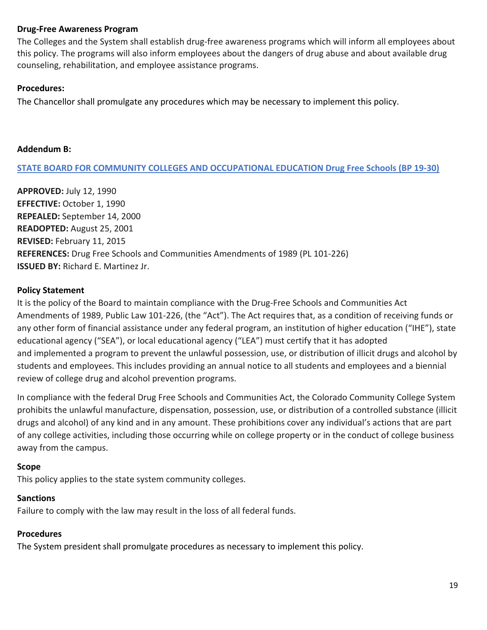#### **Drug-Free Awareness Program**

The Colleges and the System shall establish drug-free awareness programs which will inform all employees about this policy. The programs will also inform employees about the dangers of drug abuse and about available drug counseling, rehabilitation, and employee assistance programs.

#### **Procedures:**

The Chancellor shall promulgate any procedures which may be necessary to implement this policy.

#### <span id="page-18-0"></span>**Addendum B:**

**[STATE BOARD FOR COMMUNITY COLLEGES AND OCCUPATIONAL EDUCATION Drug Free Schools \(BP 19-30\)](https://www.cccs.edu/policies-and-procedures/board-policies/bp-19-30-drug-free-schools/)**

**APPROVED:** July 12, 1990 **EFFECTIVE:** October 1, 1990 **REPEALED:** September 14, 2000 **READOPTED:** August 25, 2001 **REVISED:** February 11, 2015 **REFERENCES:** Drug Free Schools and Communities Amendments of 1989 (PL 101-226) **ISSUED BY:** Richard E. Martinez Jr.

#### **Policy Statement**

It is the policy of the Board to maintain compliance with the Drug-Free Schools and Communities Act Amendments of 1989, Public Law 101-226, (the "Act"). The Act requires that, as a condition of receiving funds or any other form of financial assistance under any federal program, an institution of higher education ("IHE"), state educational agency ("SEA"), or local educational agency ("LEA") must certify that it has adopted and implemented a program to prevent the unlawful possession, use, or distribution of illicit drugs and alcohol by students and employees. This includes providing an annual notice to all students and employees and a biennial review of college drug and alcohol prevention programs.

In compliance with the federal Drug Free Schools and Communities Act, the Colorado Community College System prohibits the unlawful manufacture, dispensation, possession, use, or distribution of a controlled substance (illicit drugs and alcohol) of any kind and in any amount. These prohibitions cover any individual's actions that are part of any college activities, including those occurring while on college property or in the conduct of college business away from the campus.

#### **Scope**

This policy applies to the state system community colleges.

## **Sanctions**

Failure to comply with the law may result in the loss of all federal funds.

## **Procedures**

The System president shall promulgate procedures as necessary to implement this policy.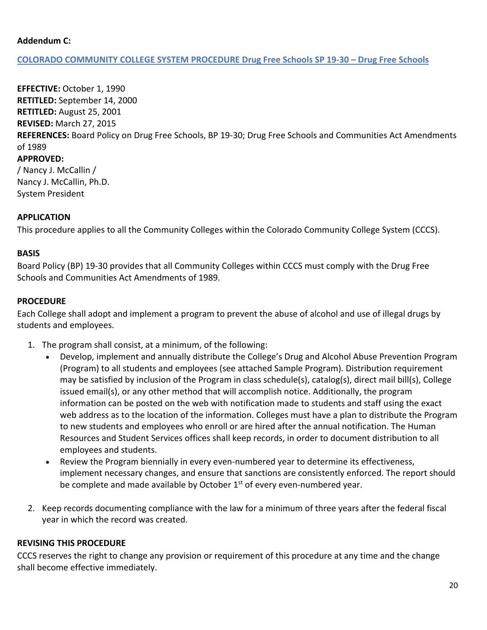#### <span id="page-19-0"></span>**Addendum C:**

#### **COLORADO COMMUNITY COLLEGE SYSTEM PROCEDURE Drug Free Schools SP 19-30 – [Drug Free Schools](https://www.cccs.edu/policies-and-procedures/system-presidents-procedures/sp-19-30-drug-free-schools/)**

**EFFECTIVE:** October 1, 1990 **RETITLED:** September 14, 2000 **RETITLED:** August 25, 2001 **REVISED:** March 27, 2015 **REFERENCES:** Board Policy on Drug Free Schools, BP 19-30; Drug Free Schools and Communities Act Amendments of 1989 **APPROVED:** / Nancy J. McCallin / Nancy J. McCallin, Ph.D.

System President

#### **APPLICATION**

This procedure applies to all the Community Colleges within the Colorado Community College System (CCCS).

#### **BASIS**

Board Policy (BP) 19-30 provides that all Community Colleges within CCCS must comply with the Drug Free Schools and Communities Act Amendments of 1989.

#### **PROCEDURE**

Each College shall adopt and implement a program to prevent the abuse of alcohol and use of illegal drugs by students and employees.

- 1. The program shall consist, at a minimum, of the following:
	- Develop, implement and annually distribute the College's Drug and Alcohol Abuse Prevention Program (Program) to all students and employees (see attached Sample Program). Distribution requirement may be satisfied by inclusion of the Program in class schedule(s), catalog(s), direct mail bill(s), College issued email(s), or any other method that will accomplish notice. Additionally, the program information can be posted on the web with notification made to students and staff using the exact web address as to the location of the information. Colleges must have a plan to distribute the Program to new students and employees who enroll or are hired after the annual notification. The Human Resources and Student Services offices shall keep records, in order to document distribution to all employees and students.
	- Review the Program biennially in every even-numbered year to determine its effectiveness, implement necessary changes, and ensure that sanctions are consistently enforced. The report should be complete and made available by October  $1<sup>st</sup>$  of every even-numbered year.
- 2. Keep records documenting compliance with the law for a minimum of three years after the federal fiscal year in which the record was created.

#### **REVISING THIS PROCEDURE**

CCCS reserves the right to change any provision or requirement of this procedure at any time and the change shall become effective immediately.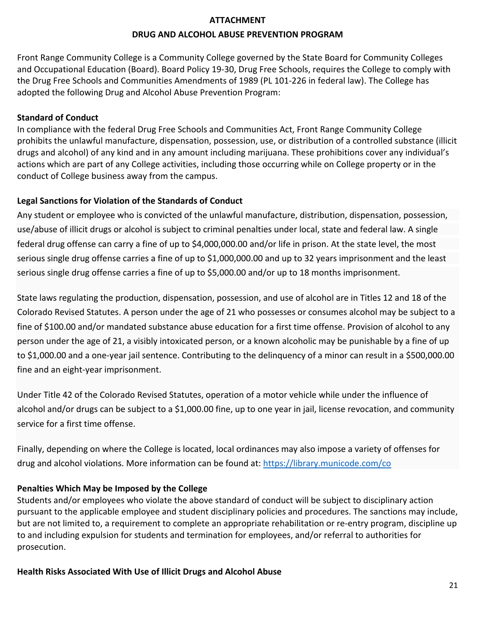#### **ATTACHMENT**

#### **DRUG AND ALCOHOL ABUSE PREVENTION PROGRAM**

<span id="page-20-0"></span>Front Range Community College is a Community College governed by the State Board for Community Colleges and Occupational Education (Board). Board Policy 19-30, Drug Free Schools, requires the College to comply with the Drug Free Schools and Communities Amendments of 1989 (PL 101-226 in federal law). The College has adopted the following Drug and Alcohol Abuse Prevention Program:

#### **Standard of Conduct**

In compliance with the federal Drug Free Schools and Communities Act, Front Range Community College prohibits the unlawful manufacture, dispensation, possession, use, or distribution of a controlled substance (illicit drugs and alcohol) of any kind and in any amount including marijuana. These prohibitions cover any individual's actions which are part of any College activities, including those occurring while on College property or in the conduct of College business away from the campus.

#### **Legal Sanctions for Violation of the Standards of Conduct**

Any student or employee who is convicted of the unlawful manufacture, distribution, dispensation, possession, use/abuse of illicit drugs or alcohol is subject to criminal penalties under local, state and federal law. A single federal drug offense can carry a fine of up to \$4,000,000.00 and/or life in prison. At the state level, the most serious single drug offense carries a fine of up to \$1,000,000.00 and up to 32 years imprisonment and the least serious single drug offense carries a fine of up to \$5,000.00 and/or up to 18 months imprisonment.

State laws regulating the production, dispensation, possession, and use of alcohol are in Titles 12 and 18 of the Colorado Revised Statutes. A person under the age of 21 who possesses or consumes alcohol may be subject to a fine of \$100.00 and/or mandated substance abuse education for a first time offense. Provision of alcohol to any person under the age of 21, a visibly intoxicated person, or a known alcoholic may be punishable by a fine of up to \$1,000.00 and a one-year jail sentence. Contributing to the delinquency of a minor can result in a \$500,000.00 fine and an eight-year imprisonment.

Under Title 42 of the Colorado Revised Statutes, operation of a motor vehicle while under the influence of alcohol and/or drugs can be subject to a \$1,000.00 fine, up to one year in jail, license revocation, and community service for a first time offense.

Finally, depending on where the College is located, local ordinances may also impose a variety of offenses for drug and alcohol violations. More information can be found at:<https://library.municode.com/co>

#### **Penalties Which May be Imposed by the College**

Students and/or employees who violate the above standard of conduct will be subject to disciplinary action pursuant to the applicable employee and student disciplinary policies and procedures. The sanctions may include, but are not limited to, a requirement to complete an appropriate rehabilitation or re-entry program, discipline up to and including expulsion for students and termination for employees, and/or referral to authorities for prosecution.

**Health Risks Associated With Use of Illicit Drugs and Alcohol Abuse**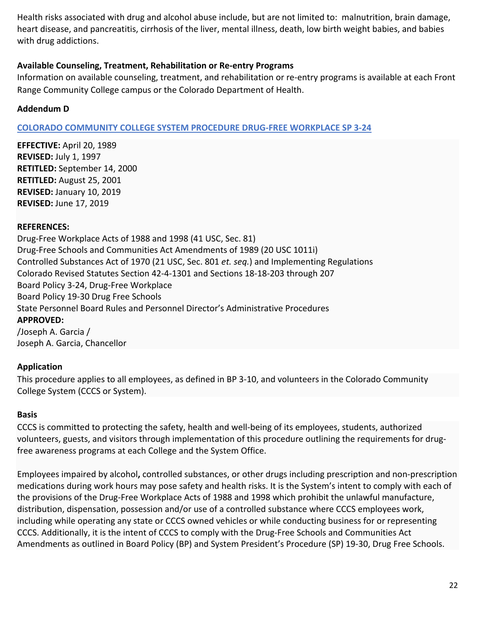Health risks associated with drug and alcohol abuse include, but are not limited to: malnutrition, brain damage, heart disease, and pancreatitis, cirrhosis of the liver, mental illness, death, low birth weight babies, and babies with drug addictions.

## **Available Counseling, Treatment, Rehabilitation or Re-entry Programs**

Information on available counseling, treatment, and rehabilitation or re-entry programs is available at each Front Range Community College campus or the Colorado Department of Health.

## <span id="page-21-0"></span>**Addendum D**

## **COLORADO [COMMUNITY](https://www.cccs.edu/policies-and-procedures/system-presidents-procedures/sp-3-24-drug-free-workplace/) COLLEGE SYSTEM PROCEDURE DRUG-FREE WORKPLACE SP 3-24**

**EFFECTIVE:** April 20, 1989 **REVISED:** July 1, 1997 **RETITLED:** September 14, 2000 **RETITLED:** August 25, 2001 **REVISED:** January 10, 2019 **REVISED:** June 17, 2019

#### **REFERENCES:**

Drug-Free Workplace Acts of 1988 and 1998 (41 USC, Sec. 81) Drug-Free Schools and Communities Act Amendments of 1989 (20 USC 1011i) Controlled Substances Act of 1970 (21 USC, Sec. 801 *et. seq.*) and Implementing Regulations Colorado Revised Statutes Section 42-4-1301 and Sections 18-18-203 through 207 Board Policy 3-24, Drug-Free Workplace Board Policy 19-30 Drug Free Schools State Personnel Board Rules and Personnel Director's Administrative Procedures **APPROVED:** /Joseph A. Garcia / Joseph A. Garcia, Chancellor

## **Application**

This procedure applies to all employees, as defined in BP 3-10, and volunteers in the Colorado Community College System (CCCS or System).

#### **Basis**

CCCS is committed to protecting the safety, health and well-being of its employees, students, authorized volunteers, guests, and visitors through implementation of this procedure outlining the requirements for drugfree awareness programs at each College and the System Office.

Employees impaired by alcohol**,** controlled substances, or other drugs including prescription and non-prescription medications during work hours may pose safety and health risks. It is the System's intent to comply with each of the provisions of the Drug-Free Workplace Acts of 1988 and 1998 which prohibit the unlawful manufacture, distribution, dispensation, possession and/or use of a controlled substance where CCCS employees work, including while operating any state or CCCS owned vehicles or while conducting business for or representing CCCS. Additionally, it is the intent of CCCS to comply with the Drug-Free Schools and Communities Act Amendments as outlined in Board Policy (BP) and System President's Procedure (SP) 19-30, Drug Free Schools.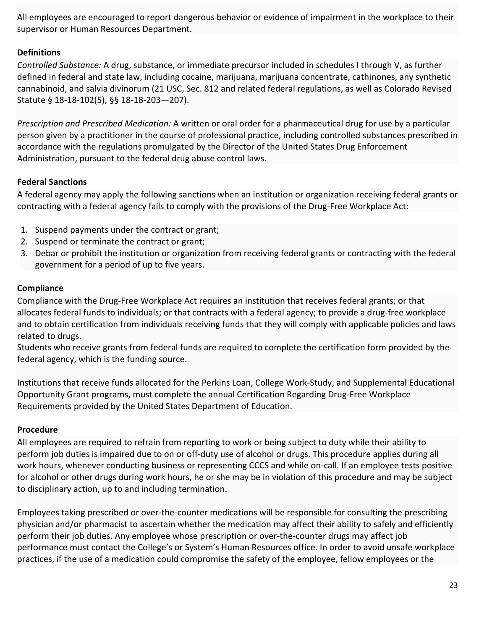All employees are encouraged to report dangerous behavior or evidence of impairment in the workplace to their supervisor or Human Resources Department.

## **Definitions**

*Controlled Substance:* A drug, substance, or immediate precursor included in schedules I through V, as further defined in federal and state law, including cocaine, marijuana, marijuana concentrate, cathinones, any synthetic cannabinoid, and salvia divinorum (21 USC, Sec. 812 and related federal regulations, as well as Colorado Revised Statute § 18-18-102(5), §§ 18-18-203—207).

*Prescription and Prescribed Medication:* A written or oral order for a pharmaceutical drug for use by a particular person given by a practitioner in the course of professional practice, including controlled substances prescribed in accordance with the regulations promulgated by the Director of the United States Drug Enforcement Administration, pursuant to the federal drug abuse control laws.

## **Federal Sanctions**

A federal agency may apply the following sanctions when an institution or organization receiving federal grants or contracting with a federal agency fails to comply with the provisions of the Drug-Free Workplace Act:

- 1. Suspend payments under the contract or grant;
- 2. Suspend or terminate the contract or grant;
- 3. Debar or prohibit the institution or organization from receiving federal grants or contracting with the federal government for a period of up to five years.

#### **Compliance**

Compliance with the Drug-Free Workplace Act requires an institution that receives federal grants; or that allocates federal funds to individuals; or that contracts with a federal agency; to provide a drug-free workplace and to obtain certification from individuals receiving funds that they will comply with applicable policies and laws related to drugs.

Students who receive grants from federal funds are required to complete the certification form provided by the federal agency, which is the funding source.

Institutions that receive funds allocated for the Perkins Loan, College Work-Study, and Supplemental Educational Opportunity Grant programs, must complete the annual Certification Regarding Drug-Free Workplace Requirements provided by the United States Department of Education.

#### **Procedure**

All employees are required to refrain from reporting to work or being subject to duty while their ability to perform job duties is impaired due to on or off-duty use of alcohol or drugs. This procedure applies during all work hours, whenever conducting business or representing CCCS and while on-call. If an employee tests positive for alcohol or other drugs during work hours, he or she may be in violation of this procedure and may be subject to disciplinary action, up to and including termination.

Employees taking prescribed or over-the-counter medications will be responsible for consulting the prescribing physician and/or pharmacist to ascertain whether the medication may affect their ability to safely and efficiently perform their job duties. Any employee whose prescription or over-the-counter drugs may affect job performance must contact the College's or System's Human Resources office. In order to avoid unsafe workplace practices, if the use of a medication could compromise the safety of the employee, fellow employees or the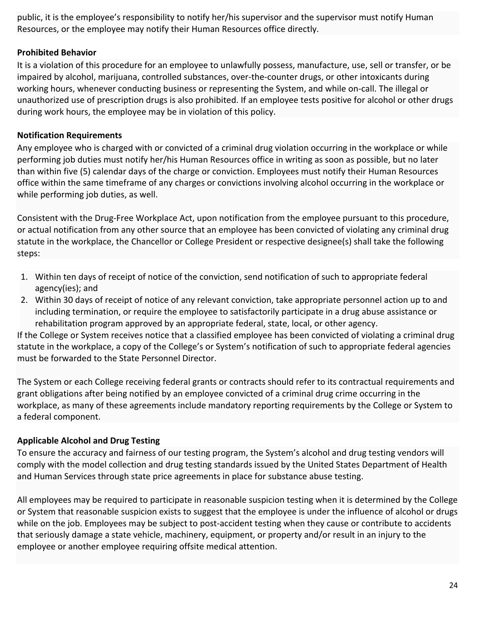public, it is the employee's responsibility to notify her/his supervisor and the supervisor must notify Human Resources, or the employee may notify their Human Resources office directly.

## **Prohibited Behavior**

It is a violation of this procedure for an employee to unlawfully possess, manufacture, use, sell or transfer, or be impaired by alcohol, marijuana, controlled substances, over-the-counter drugs, or other intoxicants during working hours, whenever conducting business or representing the System, and while on-call. The illegal or unauthorized use of prescription drugs is also prohibited. If an employee tests positive for alcohol or other drugs during work hours, the employee may be in violation of this policy.

#### **Notification Requirements**

Any employee who is charged with or convicted of a criminal drug violation occurring in the workplace or while performing job duties must notify her/his Human Resources office in writing as soon as possible, but no later than within five (5) calendar days of the charge or conviction. Employees must notify their Human Resources office within the same timeframe of any charges or convictions involving alcohol occurring in the workplace or while performing job duties, as well.

Consistent with the Drug-Free Workplace Act, upon notification from the employee pursuant to this procedure, or actual notification from any other source that an employee has been convicted of violating any criminal drug statute in the workplace, the Chancellor or College President or respective designee(s) shall take the following steps:

- 1. Within ten days of receipt of notice of the conviction, send notification of such to appropriate federal agency(ies); and
- 2. Within 30 days of receipt of notice of any relevant conviction, take appropriate personnel action up to and including termination, or require the employee to satisfactorily participate in a drug abuse assistance or rehabilitation program approved by an appropriate federal, state, local, or other agency.

If the College or System receives notice that a classified employee has been convicted of violating a criminal drug statute in the workplace, a copy of the College's or System's notification of such to appropriate federal agencies must be forwarded to the State Personnel Director.

The System or each College receiving federal grants or contracts should refer to its contractual requirements and grant obligations after being notified by an employee convicted of a criminal drug crime occurring in the workplace, as many of these agreements include mandatory reporting requirements by the College or System to a federal component.

## **Applicable Alcohol and Drug Testing**

To ensure the accuracy and fairness of our testing program, the System's alcohol and drug testing vendors will comply with the model collection and drug testing standards issued by the United States Department of Health and Human Services through state price agreements in place for substance abuse testing.

All employees may be required to participate in reasonable suspicion testing when it is determined by the College or System that reasonable suspicion exists to suggest that the employee is under the influence of alcohol or drugs while on the job. Employees may be subject to post-accident testing when they cause or contribute to accidents that seriously damage a state vehicle, machinery, equipment, or property and/or result in an injury to the employee or another employee requiring offsite medical attention.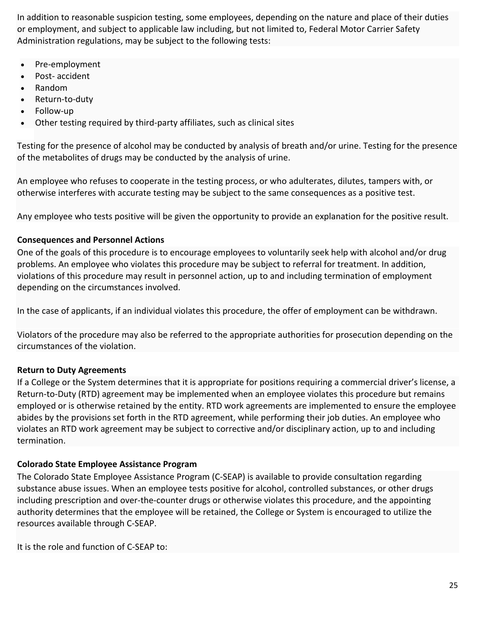In addition to reasonable suspicion testing, some employees, depending on the nature and place of their duties or employment, and subject to applicable law including, but not limited to, Federal Motor Carrier Safety Administration regulations, may be subject to the following tests:

- Pre-employment
- Post- accident
- Random
- Return-to-duty
- Follow-up
- Other testing required by third-party affiliates, such as clinical sites

Testing for the presence of alcohol may be conducted by analysis of breath and/or urine. Testing for the presence of the metabolites of drugs may be conducted by the analysis of urine.

An employee who refuses to cooperate in the testing process, or who adulterates, dilutes, tampers with, or otherwise interferes with accurate testing may be subject to the same consequences as a positive test.

Any employee who tests positive will be given the opportunity to provide an explanation for the positive result.

## **Consequences and Personnel Actions**

One of the goals of this procedure is to encourage employees to voluntarily seek help with alcohol and/or drug problems. An employee who violates this procedure may be subject to referral for treatment. In addition, violations of this procedure may result in personnel action, up to and including termination of employment depending on the circumstances involved.

In the case of applicants, if an individual violates this procedure, the offer of employment can be withdrawn.

Violators of the procedure may also be referred to the appropriate authorities for prosecution depending on the circumstances of the violation.

## **Return to Duty Agreements**

If a College or the System determines that it is appropriate for positions requiring a commercial driver's license, a Return-to-Duty (RTD) agreement may be implemented when an employee violates this procedure but remains employed or is otherwise retained by the entity. RTD work agreements are implemented to ensure the employee abides by the provisions set forth in the RTD agreement, while performing their job duties. An employee who violates an RTD work agreement may be subject to corrective and/or disciplinary action, up to and including termination.

## **Colorado State Employee Assistance Program**

The Colorado State Employee Assistance Program (C-SEAP) is available to provide consultation regarding substance abuse issues. When an employee tests positive for alcohol, controlled substances, or other drugs including prescription and over-the-counter drugs or otherwise violates this procedure, and the appointing authority determines that the employee will be retained, the College or System is encouraged to utilize the resources available through C-SEAP.

It is the role and function of C-SEAP to: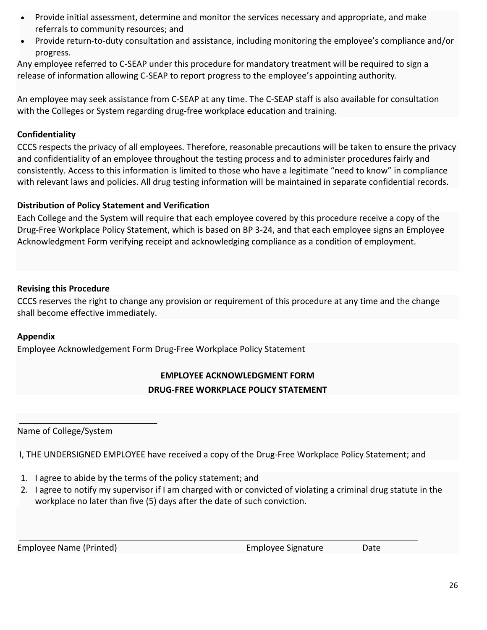- Provide initial assessment, determine and monitor the services necessary and appropriate, and make referrals to community resources; and
- Provide return-to-duty consultation and assistance, including monitoring the employee's compliance and/or progress.

Any employee referred to C-SEAP under this procedure for mandatory treatment will be required to sign a release of information allowing C-SEAP to report progress to the employee's appointing authority.

An employee may seek assistance from C-SEAP at any time. The C-SEAP staff is also available for consultation with the Colleges or System regarding drug-free workplace education and training.

## **Confidentiality**

CCCS respects the privacy of all employees. Therefore, reasonable precautions will be taken to ensure the privacy and confidentiality of an employee throughout the testing process and to administer procedures fairly and consistently. Access to this information is limited to those who have a legitimate "need to know" in compliance with relevant laws and policies. All drug testing information will be maintained in separate confidential records.

## **Distribution of Policy Statement and Verification**

Each College and the System will require that each employee covered by this procedure receive a copy of the Drug-Free Workplace Policy Statement, which is based on BP 3-24, and that each employee signs an Employee Acknowledgment Form verifying receipt and acknowledging compliance as a condition of employment.

## **Revising this Procedure**

CCCS reserves the right to change any provision or requirement of this procedure at any time and the change shall become effective immediately.

## **Appendix**

<span id="page-25-0"></span>Employee Acknowledgement Form Drug-Free Workplace Policy Statement

## **EMPLOYEE ACKNOWLEDGMENT FORM DRUG-FREE WORKPLACE POLICY STATEMENT**

Name of College/System

 $\overline{\phantom{a}}$  , which is a set of the set of the set of the set of the set of the set of the set of the set of the set of the set of the set of the set of the set of the set of the set of the set of the set of the set of th

I, THE UNDERSIGNED EMPLOYEE have received a copy of the Drug-Free Workplace Policy Statement; and

- 1. I agree to abide by the terms of the policy statement; and
- 2. I agree to notify my supervisor if I am charged with or convicted of violating a criminal drug statute in the workplace no later than five (5) days after the date of such conviction.

Employee Name (Printed) Employee Signature Date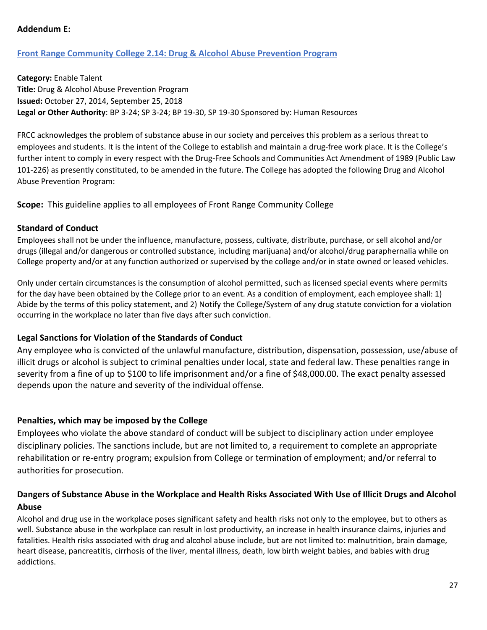#### <span id="page-26-0"></span>**Addendum E:**

#### **[Front Range Community College 2.14: Drug & Alcohol Abuse Prevention Program](https://inside.frontrange.edu/ppgteam/Shared%20Documents/Human%20Resources/HR%202.14%20Enable%20Talent_DrugAlcoholAbusePrevention.pdf#search=Drug%20%26%20alcohol%20abuse%20prevention%20program)**

**Category:** Enable Talent **Title:** Drug & Alcohol Abuse Prevention Program **Issued:** October 27, 2014, September 25, 2018 **Legal or Other Authority**: BP 3-24; SP 3-24; BP 19-30, SP 19-30 Sponsored by: Human Resources

FRCC acknowledges the problem of substance abuse in our society and perceives this problem as a serious threat to employees and students. It is the intent of the College to establish and maintain a drug-free work place. It is the College's further intent to comply in every respect with the Drug-Free Schools and Communities Act Amendment of 1989 (Public Law 101-226) as presently constituted, to be amended in the future. The College has adopted the following Drug and Alcohol Abuse Prevention Program:

**Scope:** This guideline applies to all employees of Front Range Community College

#### **Standard of Conduct**

Employees shall not be under the influence, manufacture, possess, cultivate, distribute, purchase, or sell alcohol and/or drugs (illegal and/or dangerous or controlled substance, including marijuana) and/or alcohol/drug paraphernalia while on College property and/or at any function authorized or supervised by the college and/or in state owned or leased vehicles.

Only under certain circumstances is the consumption of alcohol permitted, such as licensed special events where permits for the day have been obtained by the College prior to an event. As a condition of employment, each employee shall: 1) Abide by the terms of this policy statement, and 2) Notify the College/System of any drug statute conviction for a violation occurring in the workplace no later than five days after such conviction.

#### **Legal Sanctions for Violation of the Standards of Conduct**

Any employee who is convicted of the unlawful manufacture, distribution, dispensation, possession, use/abuse of illicit drugs or alcohol is subject to criminal penalties under local, state and federal law. These penalties range in severity from a fine of up to \$100 to life imprisonment and/or a fine of \$48,000.00. The exact penalty assessed depends upon the nature and severity of the individual offense.

#### **Penalties, which may be imposed by the College**

Employees who violate the above standard of conduct will be subject to disciplinary action under employee disciplinary policies. The sanctions include, but are not limited to, a requirement to complete an appropriate rehabilitation or re-entry program; expulsion from College or termination of employment; and/or referral to authorities for prosecution.

## **Dangers of Substance Abuse in the Workplace and Health Risks Associated With Use of Illicit Drugs and Alcohol Abuse**

Alcohol and drug use in the workplace poses significant safety and health risks not only to the employee, but to others as well. Substance abuse in the workplace can result in lost productivity, an increase in health insurance claims, injuries and fatalities. Health risks associated with drug and alcohol abuse include, but are not limited to: malnutrition, brain damage, heart disease, pancreatitis, cirrhosis of the liver, mental illness, death, low birth weight babies, and babies with drug addictions.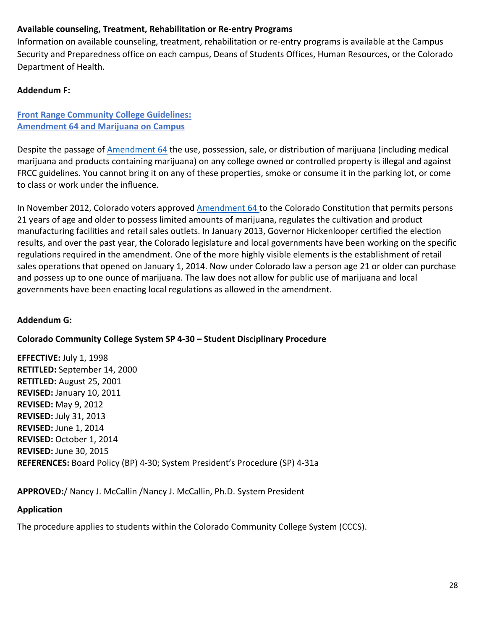## **Available counseling, Treatment, Rehabilitation or Re-entry Programs**

Information on available counseling, treatment, rehabilitation or re-entry programs is available at the Campus Security and Preparedness office on each campus, Deans of Students Offices, Human Resources, or the Colorado Department of Health.

## <span id="page-27-0"></span>**Addendum F:**

#### **[Front Range Community College Guidelines:](https://www.frontrange.edu/docs/default-source/being-a-student/safety-security/frcc-amendment-64-marijuana.pdf?sfvrsn=e89207a7_7) [Amendment 64 and Marijuana on Campus](https://www.frontrange.edu/docs/default-source/being-a-student/safety-security/frcc-amendment-64-marijuana.pdf?sfvrsn=e89207a7_7)**

Despite the passage of **Amendment 64** the use, possession, sale, or distribution of marijuana (including medical marijuana and products containing marijuana) on any college owned or controlled property is illegal and against FRCC guidelines. You cannot bring it on any of these properties, smoke or consume it in the parking lot, or come to class or work under the influence.

In November 2012, Colorado voters approved [Amendment 64 t](https://www.fcgov.com/mmj/pdf/amendment64.pdf)o the Colorado Constitution that permits persons 21 years of age and older to possess limited amounts of marijuana, regulates the cultivation and product manufacturing facilities and retail sales outlets. In January 2013, Governor Hickenlooper certified the election results, and over the past year, the Colorado legislature and local governments have been working on the specific regulations required in the amendment. One of the more highly visible elements is the establishment of retail sales operations that opened on January 1, 2014. Now under Colorado law a person age 21 or older can purchase and possess up to one ounce of marijuana. The law does not allow for public use of marijuana and local governments have been enacting local regulations as allowed in the amendment.

## <span id="page-27-1"></span>**Addendum G:**

## <span id="page-27-2"></span>**Colorado Community College System SP 4-30 – Student Disciplinary Procedure**

**EFFECTIVE:** July 1, 1998 **RETITLED:** September 14, 2000 **RETITLED:** August 25, 2001 **REVISED:** January 10, 2011 **REVISED:** May 9, 2012 **REVISED:** July 31, 2013 **REVISED:** June 1, 2014 **REVISED:** October 1, 2014 **REVISED:** June 30, 2015 **REFERENCES:** Board Policy (BP) 4-30; System President's Procedure (SP) 4-31a

**APPROVED:**/ Nancy J. McCallin /Nancy J. McCallin, Ph.D. System President

## **Application**

The procedure applies to students within the Colorado Community College System (CCCS).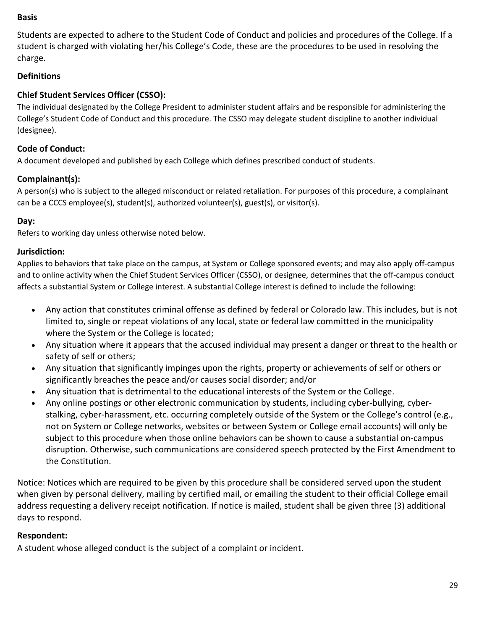#### **Basis**

Students are expected to adhere to the Student Code of Conduct and policies and procedures of the College. If a student is charged with violating her/his College's Code, these are the procedures to be used in resolving the charge.

#### <span id="page-28-0"></span>**Definitions**

#### **Chief Student Services Officer (CSSO):**

The individual designated by the College President to administer student affairs and be responsible for administering the College's Student Code of Conduct and this procedure. The CSSO may delegate student discipline to another individual (designee).

#### **Code of Conduct:**

A document developed and published by each College which defines prescribed conduct of students.

#### **Complainant(s):**

A person(s) who is subject to the alleged misconduct or related retaliation. For purposes of this procedure, a complainant can be a CCCS employee(s), student(s), authorized volunteer(s), guest(s), or visitor(s).

#### **Day:**

Refers to working day unless otherwise noted below.

#### **Jurisdiction:**

Applies to behaviors that take place on the campus, at System or College sponsored events; and may also apply off-campus and to online activity when the Chief Student Services Officer (CSSO), or designee, determines that the off-campus conduct affects a substantial System or College interest. A substantial College interest is defined to include the following:

- Any action that constitutes criminal offense as defined by federal or Colorado law. This includes, but is not limited to, single or repeat violations of any local, state or federal law committed in the municipality where the System or the College is located;
- Any situation where it appears that the accused individual may present a danger or threat to the health or safety of self or others;
- Any situation that significantly impinges upon the rights, property or achievements of self or others or significantly breaches the peace and/or causes social disorder; and/or
- Any situation that is detrimental to the educational interests of the System or the College.
- Any online postings or other electronic communication by students, including cyber-bullying, cyberstalking, cyber-harassment, etc. occurring completely outside of the System or the College's control (e.g., not on System or College networks, websites or between System or College email accounts) will only be subject to this procedure when those online behaviors can be shown to cause a substantial on-campus disruption. Otherwise, such communications are considered speech protected by the First Amendment to the Constitution.

Notice: Notices which are required to be given by this procedure shall be considered served upon the student when given by personal delivery, mailing by certified mail, or emailing the student to their official College email address requesting a delivery receipt notification. If notice is mailed, student shall be given three (3) additional days to respond.

#### **Respondent:**

A student whose alleged conduct is the subject of a complaint or incident.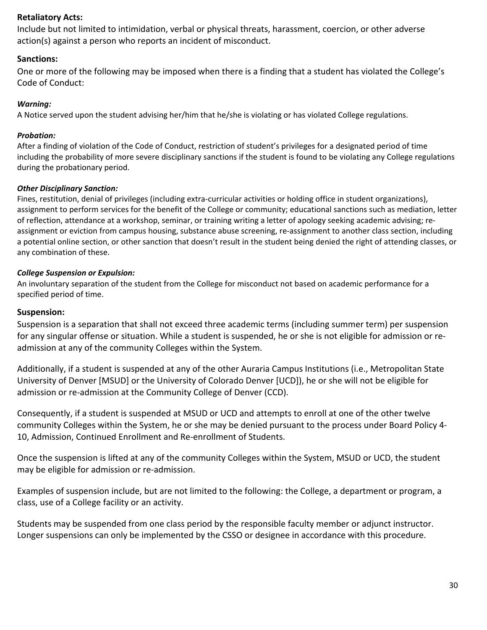#### **Retaliatory Acts:**

Include but not limited to intimidation, verbal or physical threats, harassment, coercion, or other adverse action(s) against a person who reports an incident of misconduct.

#### **Sanctions:**

One or more of the following may be imposed when there is a finding that a student has violated the College's Code of Conduct:

#### *Warning:*

A Notice served upon the student advising her/him that he/she is violating or has violated College regulations.

#### *Probation:*

After a finding of violation of the Code of Conduct, restriction of student's privileges for a designated period of time including the probability of more severe disciplinary sanctions if the student is found to be violating any College regulations during the probationary period.

#### *Other Disciplinary Sanction:*

Fines, restitution, denial of privileges (including extra-curricular activities or holding office in student organizations), assignment to perform services for the benefit of the College or community; educational sanctions such as mediation, letter of reflection, attendance at a workshop, seminar, or training writing a letter of apology seeking academic advising; reassignment or eviction from campus housing, substance abuse screening, re-assignment to another class section, including a potential online section, or other sanction that doesn't result in the student being denied the right of attending classes, or any combination of these.

#### *College Suspension or Expulsion:*

An involuntary separation of the student from the College for misconduct not based on academic performance for a specified period of time.

#### **Suspension:**

Suspension is a separation that shall not exceed three academic terms (including summer term) per suspension for any singular offense or situation. While a student is suspended, he or she is not eligible for admission or readmission at any of the community Colleges within the System.

Additionally, if a student is suspended at any of the other Auraria Campus Institutions (i.e., Metropolitan State University of Denver [MSUD] or the University of Colorado Denver [UCD]), he or she will not be eligible for admission or re-admission at the Community College of Denver (CCD).

Consequently, if a student is suspended at MSUD or UCD and attempts to enroll at one of the other twelve community Colleges within the System, he or she may be denied pursuant to the process under Board Policy 4- 10, Admission, Continued Enrollment and Re-enrollment of Students.

Once the suspension is lifted at any of the community Colleges within the System, MSUD or UCD, the student may be eligible for admission or re-admission.

Examples of suspension include, but are not limited to the following: the College, a department or program, a class, use of a College facility or an activity.

Students may be suspended from one class period by the responsible faculty member or adjunct instructor. Longer suspensions can only be implemented by the CSSO or designee in accordance with this procedure.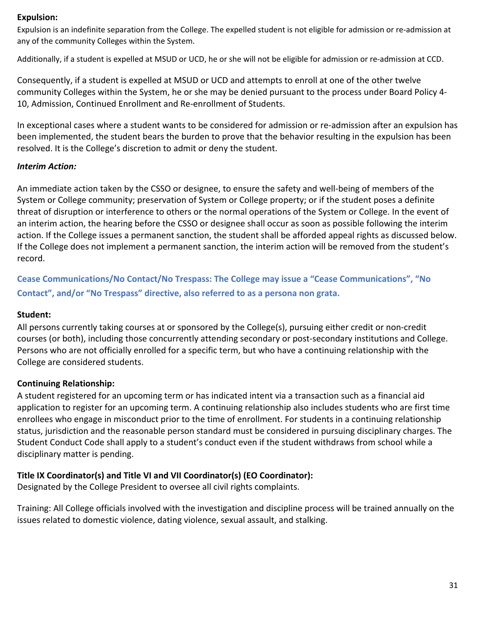#### **Expulsion:**

Expulsion is an indefinite separation from the College. The expelled student is not eligible for admission or re-admission at any of the community Colleges within the System.

Additionally, if a student is expelled at MSUD or UCD, he or she will not be eligible for admission or re-admission at CCD.

Consequently, if a student is expelled at MSUD or UCD and attempts to enroll at one of the other twelve community Colleges within the System, he or she may be denied pursuant to the process under Board Policy 4- 10, Admission, Continued Enrollment and Re-enrollment of Students.

In exceptional cases where a student wants to be considered for admission or re-admission after an expulsion has been implemented, the student bears the burden to prove that the behavior resulting in the expulsion has been resolved. It is the College's discretion to admit or deny the student.

#### *Interim Action:*

An immediate action taken by the CSSO or designee, to ensure the safety and well-being of members of the System or College community; preservation of System or College property; or if the student poses a definite threat of disruption or interference to others or the normal operations of the System or College. In the event of an interim action, the hearing before the CSSO or designee shall occur as soon as possible following the interim action. If the College issues a permanent sanction, the student shall be afforded appeal rights as discussed below. If the College does not implement a permanent sanction, the interim action will be removed from the student's record.

**Cease Communications/No Contact/No Trespass: The College may issue a "Cease Communications", "No Contact", and/or "No Trespass" directive, also referred to as a persona non grata.**

#### **Student:**

All persons currently taking courses at or sponsored by the College(s), pursuing either credit or non-credit courses (or both), including those concurrently attending secondary or post-secondary institutions and College. Persons who are not officially enrolled for a specific term, but who have a continuing relationship with the College are considered students.

## **Continuing Relationship:**

A student registered for an upcoming term or has indicated intent via a transaction such as a financial aid application to register for an upcoming term. A continuing relationship also includes students who are first time enrollees who engage in misconduct prior to the time of enrollment. For students in a continuing relationship status, jurisdiction and the reasonable person standard must be considered in pursuing disciplinary charges. The Student Conduct Code shall apply to a student's conduct even if the student withdraws from school while a disciplinary matter is pending.

## **Title IX Coordinator(s) and Title VI and VII Coordinator(s) (EO Coordinator):**

Designated by the College President to oversee all civil rights complaints.

Training: All College officials involved with the investigation and discipline process will be trained annually on the issues related to domestic violence, dating violence, sexual assault, and stalking.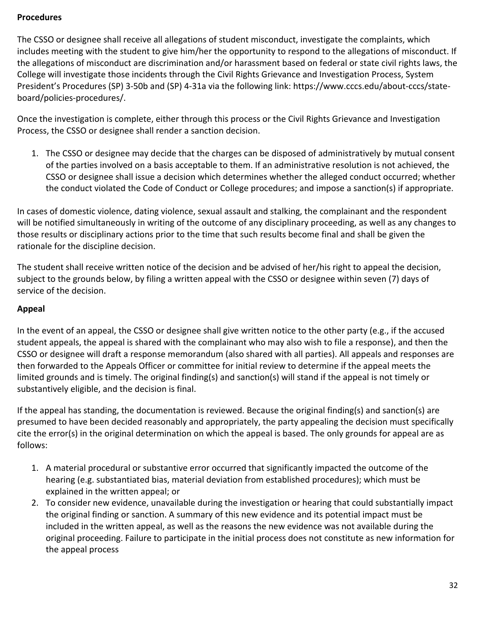#### <span id="page-31-0"></span>**Procedures**

The CSSO or designee shall receive all allegations of student misconduct, investigate the complaints, which includes meeting with the student to give him/her the opportunity to respond to the allegations of misconduct. If the allegations of misconduct are discrimination and/or harassment based on federal or state civil rights laws, the College will investigate those incidents through the Civil Rights Grievance and Investigation Process, System President's Procedures (SP) 3-50b and (SP) 4-31a via the following link: https://www.cccs.edu/about-cccs/stateboard/policies-procedures/.

Once the investigation is complete, either through this process or the Civil Rights Grievance and Investigation Process, the CSSO or designee shall render a sanction decision.

1. The CSSO or designee may decide that the charges can be disposed of administratively by mutual consent of the parties involved on a basis acceptable to them. If an administrative resolution is not achieved, the CSSO or designee shall issue a decision which determines whether the alleged conduct occurred; whether the conduct violated the Code of Conduct or College procedures; and impose a sanction(s) if appropriate.

In cases of domestic violence, dating violence, sexual assault and stalking, the complainant and the respondent will be notified simultaneously in writing of the outcome of any disciplinary proceeding, as well as any changes to those results or disciplinary actions prior to the time that such results become final and shall be given the rationale for the discipline decision.

The student shall receive written notice of the decision and be advised of her/his right to appeal the decision, subject to the grounds below, by filing a written appeal with the CSSO or designee within seven (7) days of service of the decision.

## <span id="page-31-1"></span>**Appeal**

In the event of an appeal, the CSSO or designee shall give written notice to the other party (e.g., if the accused student appeals, the appeal is shared with the complainant who may also wish to file a response), and then the CSSO or designee will draft a response memorandum (also shared with all parties). All appeals and responses are then forwarded to the Appeals Officer or committee for initial review to determine if the appeal meets the limited grounds and is timely. The original finding(s) and sanction(s) will stand if the appeal is not timely or substantively eligible, and the decision is final.

If the appeal has standing, the documentation is reviewed. Because the original finding(s) and sanction(s) are presumed to have been decided reasonably and appropriately, the party appealing the decision must specifically cite the error(s) in the original determination on which the appeal is based. The only grounds for appeal are as follows:

- 1. A material procedural or substantive error occurred that significantly impacted the outcome of the hearing (e.g. substantiated bias, material deviation from established procedures); which must be explained in the written appeal; or
- 2. To consider new evidence, unavailable during the investigation or hearing that could substantially impact the original finding or sanction. A summary of this new evidence and its potential impact must be included in the written appeal, as well as the reasons the new evidence was not available during the original proceeding. Failure to participate in the initial process does not constitute as new information for the appeal process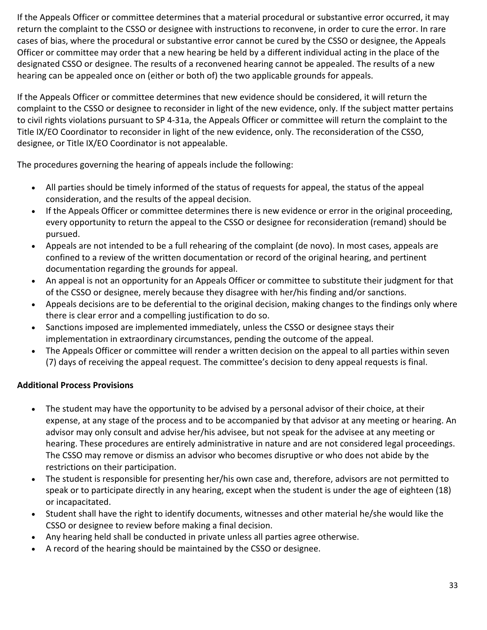If the Appeals Officer or committee determines that a material procedural or substantive error occurred, it may return the complaint to the CSSO or designee with instructions to reconvene, in order to cure the error. In rare cases of bias, where the procedural or substantive error cannot be cured by the CSSO or designee, the Appeals Officer or committee may order that a new hearing be held by a different individual acting in the place of the designated CSSO or designee. The results of a reconvened hearing cannot be appealed. The results of a new hearing can be appealed once on (either or both of) the two applicable grounds for appeals.

If the Appeals Officer or committee determines that new evidence should be considered, it will return the complaint to the CSSO or designee to reconsider in light of the new evidence, only. If the subject matter pertains to civil rights violations pursuant to SP 4-31a, the Appeals Officer or committee will return the complaint to the Title IX/EO Coordinator to reconsider in light of the new evidence, only. The reconsideration of the CSSO, designee, or Title IX/EO Coordinator is not appealable.

The procedures governing the hearing of appeals include the following:

- All parties should be timely informed of the status of requests for appeal, the status of the appeal consideration, and the results of the appeal decision.
- If the Appeals Officer or committee determines there is new evidence or error in the original proceeding, every opportunity to return the appeal to the CSSO or designee for reconsideration (remand) should be pursued.
- Appeals are not intended to be a full rehearing of the complaint (de novo). In most cases, appeals are confined to a review of the written documentation or record of the original hearing, and pertinent documentation regarding the grounds for appeal.
- An appeal is not an opportunity for an Appeals Officer or committee to substitute their judgment for that of the CSSO or designee, merely because they disagree with her/his finding and/or sanctions.
- Appeals decisions are to be deferential to the original decision, making changes to the findings only where there is clear error and a compelling justification to do so.
- Sanctions imposed are implemented immediately, unless the CSSO or designee stays their implementation in extraordinary circumstances, pending the outcome of the appeal.
- The Appeals Officer or committee will render a written decision on the appeal to all parties within seven (7) days of receiving the appeal request. The committee's decision to deny appeal requests is final.

## <span id="page-32-0"></span>**Additional Process Provisions**

- The student may have the opportunity to be advised by a personal advisor of their choice, at their expense, at any stage of the process and to be accompanied by that advisor at any meeting or hearing. An advisor may only consult and advise her/his advisee, but not speak for the advisee at any meeting or hearing. These procedures are entirely administrative in nature and are not considered legal proceedings. The CSSO may remove or dismiss an advisor who becomes disruptive or who does not abide by the restrictions on their participation.
- The student is responsible for presenting her/his own case and, therefore, advisors are not permitted to speak or to participate directly in any hearing, except when the student is under the age of eighteen (18) or incapacitated.
- Student shall have the right to identify documents, witnesses and other material he/she would like the CSSO or designee to review before making a final decision.
- Any hearing held shall be conducted in private unless all parties agree otherwise.
- A record of the hearing should be maintained by the CSSO or designee.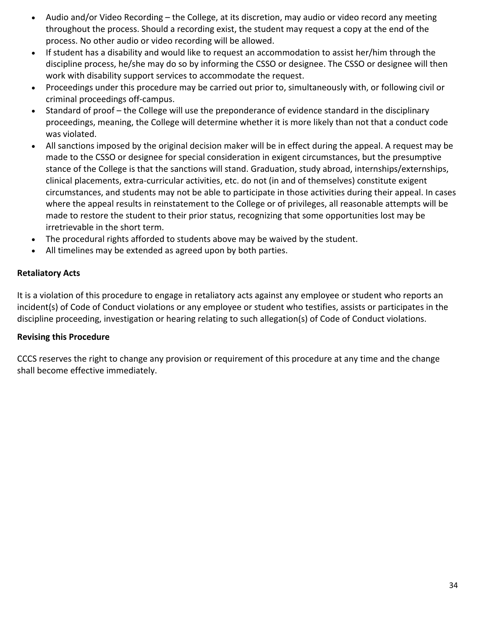- Audio and/or Video Recording the College, at its discretion, may audio or video record any meeting throughout the process. Should a recording exist, the student may request a copy at the end of the process. No other audio or video recording will be allowed.
- If student has a disability and would like to request an accommodation to assist her/him through the discipline process, he/she may do so by informing the CSSO or designee. The CSSO or designee will then work with disability support services to accommodate the request.
- Proceedings under this procedure may be carried out prior to, simultaneously with, or following civil or criminal proceedings off-campus.
- Standard of proof the College will use the preponderance of evidence standard in the disciplinary proceedings, meaning, the College will determine whether it is more likely than not that a conduct code was violated.
- All sanctions imposed by the original decision maker will be in effect during the appeal. A request may be made to the CSSO or designee for special consideration in exigent circumstances, but the presumptive stance of the College is that the sanctions will stand. Graduation, study abroad, internships/externships, clinical placements, extra-curricular activities, etc. do not (in and of themselves) constitute exigent circumstances, and students may not be able to participate in those activities during their appeal. In cases where the appeal results in reinstatement to the College or of privileges, all reasonable attempts will be made to restore the student to their prior status, recognizing that some opportunities lost may be irretrievable in the short term.
- The procedural rights afforded to students above may be waived by the student.
- All timelines may be extended as agreed upon by both parties.

## <span id="page-33-0"></span>**Retaliatory Acts**

It is a violation of this procedure to engage in retaliatory acts against any employee or student who reports an incident(s) of Code of Conduct violations or any employee or student who testifies, assists or participates in the discipline proceeding, investigation or hearing relating to such allegation(s) of Code of Conduct violations.

## <span id="page-33-1"></span>**Revising this Procedure**

CCCS reserves the right to change any provision or requirement of this procedure at any time and the change shall become effective immediately.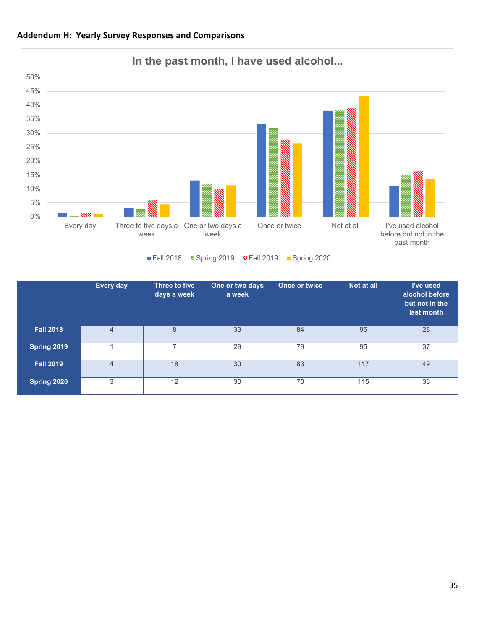<span id="page-34-0"></span>



|                  | Every day      | Three to five<br>days a week | One or two days<br>a week | <b>Once or twice</b> | Not at all | I've used<br>alcohol before<br>but not in the<br>last month |
|------------------|----------------|------------------------------|---------------------------|----------------------|------------|-------------------------------------------------------------|
| <b>Fall 2018</b> | $\overline{4}$ | 8                            | 33                        | 84                   | 96         | 28                                                          |
| Spring 2019      |                |                              | 29                        | 79                   | 95         | 37                                                          |
| <b>Fall 2019</b> | $\overline{4}$ | 18                           | 30                        | 83                   | 117        | 49                                                          |
| Spring 2020      | 3              | 12                           | 30                        | 70                   | 115        | 36                                                          |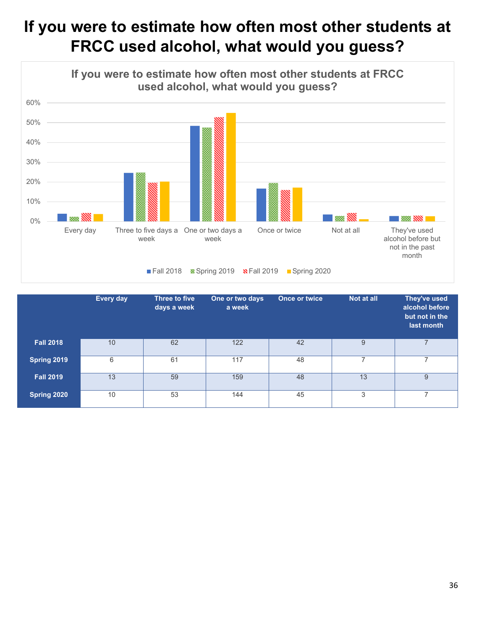# **If you were to estimate how often most other students at FRCC used alcohol, what would you guess?**



|                  | <b>Every day</b> | Three to five<br>days a week | One or two days<br>a week | <b>Once or twice</b> | Not at all | They've used<br>alcohol before<br>but not in the<br>last month |
|------------------|------------------|------------------------------|---------------------------|----------------------|------------|----------------------------------------------------------------|
| <b>Fall 2018</b> | 10               | 62                           | 122                       | 42                   | 9          | $\overline{7}$                                                 |
| Spring 2019      | 6                | 61                           | 117                       | 48                   |            | 7                                                              |
| <b>Fall 2019</b> | 13               | 59                           | 159                       | 48                   | 13         | 9                                                              |
| Spring 2020      | 10               | 53                           | 144                       | 45                   | 3          |                                                                |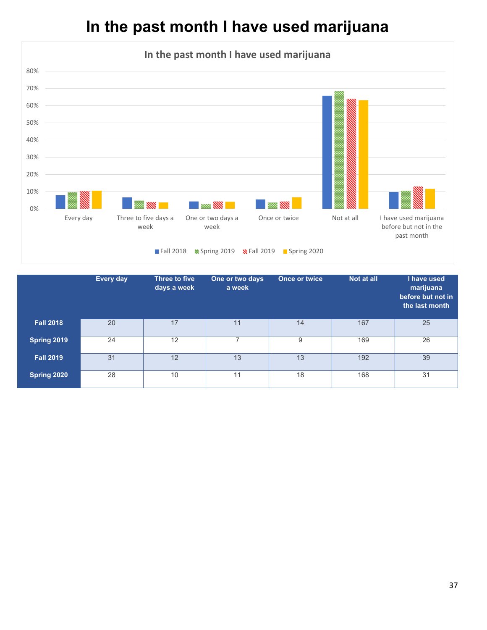# **In the past month I have used marijuana**



|                  | Every day | Three to five<br>days a week | One or two days<br>a week | <b>Once or twice</b> | Not at all | I have used<br>marijuana<br>before but not in<br>the last month |
|------------------|-----------|------------------------------|---------------------------|----------------------|------------|-----------------------------------------------------------------|
| <b>Fall 2018</b> | 20        | 17                           | 11                        | 14                   | 167        | 25                                                              |
| Spring 2019      | 24        | 12                           | ⇁                         | 9                    | 169        | 26                                                              |
| <b>Fall 2019</b> | 31        | 12                           | 13                        | 13                   | 192        | 39                                                              |
| Spring 2020      | 28        | 10                           | 11                        | 18                   | 168        | 31                                                              |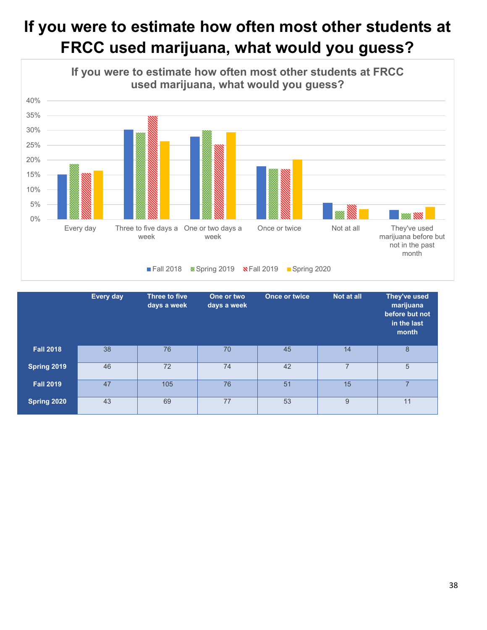# **If you were to estimate how often most other students at FRCC used marijuana, what would you guess?**



|                  | Every day | Three to five<br>days a week | One or two<br>days a week | <b>Once or twice</b> | Not at all     | They've used<br>marijuana<br>before but not<br>in the last<br>month |
|------------------|-----------|------------------------------|---------------------------|----------------------|----------------|---------------------------------------------------------------------|
| <b>Fall 2018</b> | 38        | 76                           | 70                        | 45                   | 14             | 8                                                                   |
| Spring 2019      | 46        | 72                           | 74                        | 42                   | $\overline{7}$ | 5                                                                   |
| <b>Fall 2019</b> | 47        | 105                          | 76                        | 51                   | 15             | 7                                                                   |
| Spring 2020      | 43        | 69                           | 77                        | 53                   | 9              | 11                                                                  |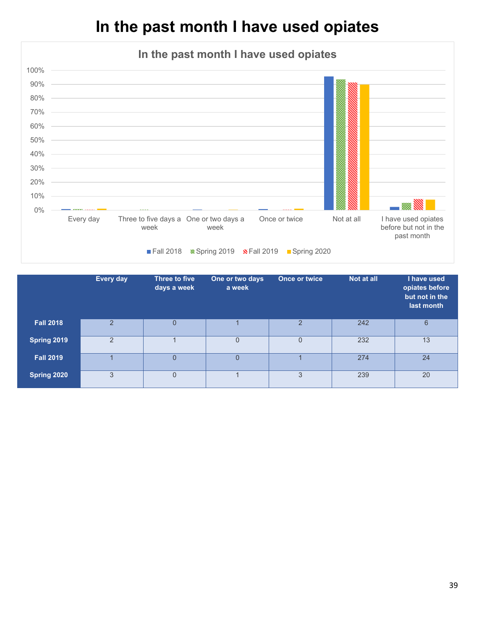# **In the past month I have used opiates**



|                  | Every day      | Three to five<br>days a week | One or two days<br>a week | Once or twice  | Not at all | I have used<br>opiates before<br>but not in the<br>last month |
|------------------|----------------|------------------------------|---------------------------|----------------|------------|---------------------------------------------------------------|
| <b>Fall 2018</b> | $\overline{2}$ | $\mathbf{0}$                 |                           | $\overline{2}$ | 242        | 6                                                             |
| Spring 2019      | $\overline{2}$ |                              | 0                         | $\Omega$       | 232        | 13                                                            |
| <b>Fall 2019</b> |                | $\overline{0}$               | 0                         |                | 274        | 24                                                            |
| Spring 2020      | 3              | $\mathbf 0$                  |                           | 3              | 239        | 20                                                            |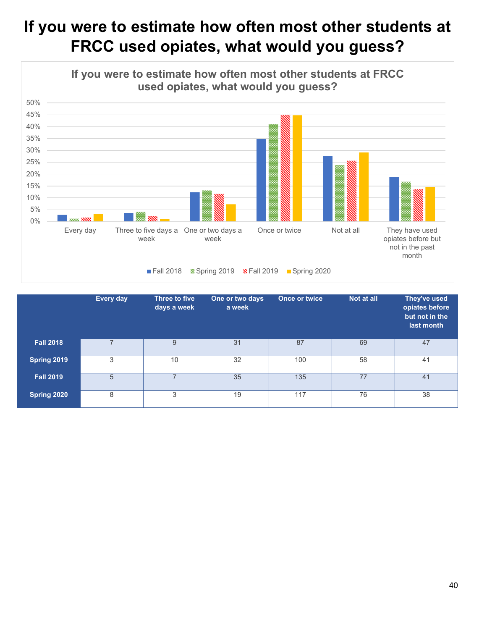# **If you were to estimate how often most other students at FRCC used opiates, what would you guess?**



|                  | Every day | Three to five<br>days a week | One or two days<br>a week | <b>Once or twice</b> | Not at all | They've used<br>opiates before<br>but not in the<br>last month |
|------------------|-----------|------------------------------|---------------------------|----------------------|------------|----------------------------------------------------------------|
| <b>Fall 2018</b> |           | 9                            | 31                        | 87                   | 69         | 47                                                             |
| Spring 2019      | 3         | 10                           | 32                        | 100                  | 58         | 41                                                             |
| <b>Fall 2019</b> | 5         | ⇁                            | 35                        | 135                  | 77         | 41                                                             |
| Spring 2020      | 8         | 3                            | 19                        | 117                  | 76         | 38                                                             |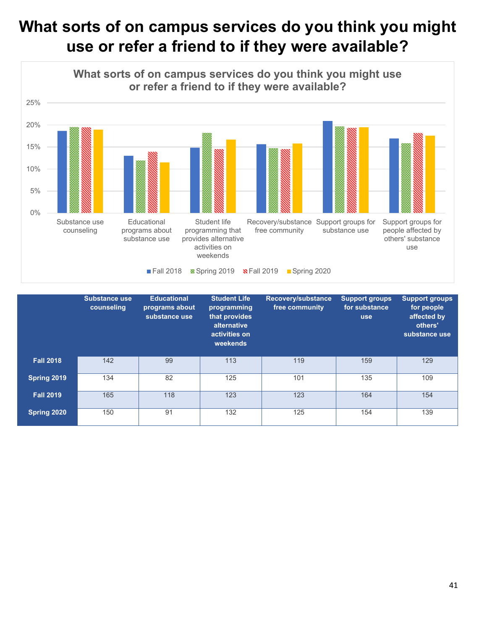# **What sorts of on campus services do you think you might use or refer a friend to if they were available?**



|                  | <b>Substance use</b><br>counseling | <b>Educational</b><br>programs about<br>substance use | <b>Student Life</b><br>programming<br>that provides<br>alternative<br>activities on<br>weekends | Recovery/substance<br>free community | <b>Support groups</b><br>for substance<br><b>use</b> | <b>Support groups</b><br>for people<br>affected by<br>others'<br>substance use |
|------------------|------------------------------------|-------------------------------------------------------|-------------------------------------------------------------------------------------------------|--------------------------------------|------------------------------------------------------|--------------------------------------------------------------------------------|
| <b>Fall 2018</b> | 142                                | 99                                                    | 113                                                                                             | 119                                  | 159                                                  | 129                                                                            |
| Spring 2019      | 134                                | 82                                                    | 125                                                                                             | 101                                  | 135                                                  | 109                                                                            |
| <b>Fall 2019</b> | 165                                | 118                                                   | 123                                                                                             | 123                                  | 164                                                  | 154                                                                            |
| Spring 2020      | 150                                | 91                                                    | 132                                                                                             | 125                                  | 154                                                  | 139                                                                            |